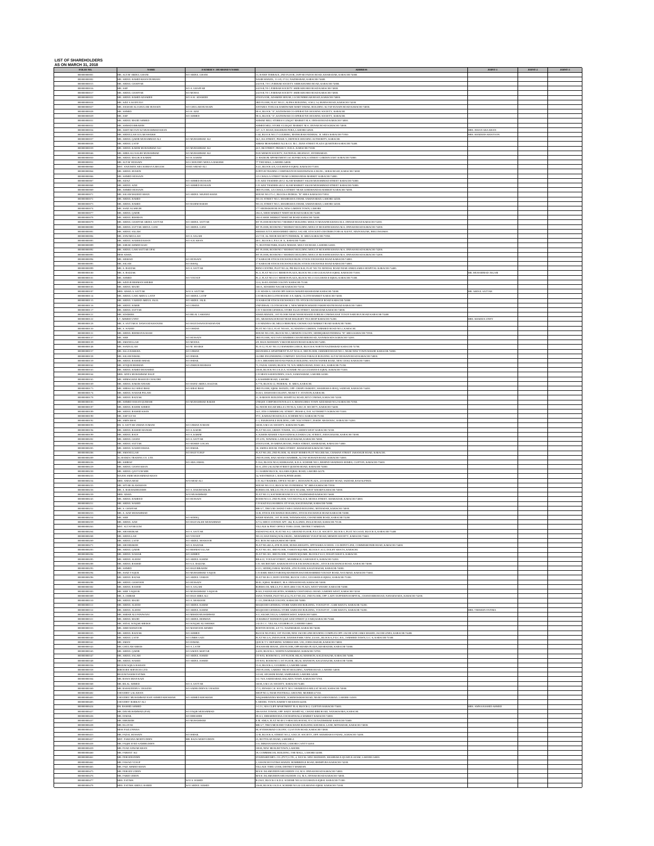## **LIST OF SHAREHOLDERS AS ON MARCH 31, 2018**

| FOLIO NO.                    | <b>NAME</b>                                                  | <b>FATHER'S   HUSBAND'S NAME</b>                 | <b>ADDRESS</b>                                                                                                                                                                             | JOINT-1                                            | JOINT-2 | JOINT-3 |
|------------------------------|--------------------------------------------------------------|--------------------------------------------------|--------------------------------------------------------------------------------------------------------------------------------------------------------------------------------------------|----------------------------------------------------|---------|---------|
| 00000000000<br>000000000002  | MR. ALTAF ABDUL GHANI<br>MR. ABDUL HAMID KHAN DURRANI        | O ABDUL GHANI                                    | 13, HANIF TERRACE, 2ND FLOOR, JAFFAR FADOO ROAD, KHARADAR, KARACHI-74000<br>NASIR MANZIL, 111-D, 27/22, NAZIMABAD, KARACHI-74600.                                                          |                                                    |         |         |
| 000000000015                 | MR. ABDUL GHAFFAR                                            |                                                  | 4/419-B. 7/8 C.P.BERAR SOCIETY AMIR KHUSRO ROAD, KARACHI-74800.                                                                                                                            |                                                    |         |         |
| 000000000016<br>00000000001  | MR. ASIF<br>MR. ABDUL GHAFFAR                                | SO A GHAFFAR<br>SO MOSSA                         | 4/419-B,7/8 C.P.BERAR SOCIETY AMIR KHUSRO ROAD KARACHI-74800.<br>4/419-B,7/8 C.P.BERAR SOCIETY AMIR KHUSRO ROAD KARACHI-74800                                                              |                                                    |         |         |
| 00000000002                  | MR. ABDUL HAMID ADAMEE                                       | O A.W. ADAMJEE                                   | 4TH FLOOR, ADAMIEE HOUSE, LLCHUNDRIGAR ROAD, KARACHI-7400                                                                                                                                  |                                                    |         |         |
| 000000000024<br>00000000002  | MR. AZIZ S. KODVAVI<br>MR. ASGHAR ALI GHULAM HUSSAIN         | SO GHULAM HUSSAIN                                | 3RD FLOOR, FLAT NO.21, ALPHA BUILDING, A.M.3, 54, BURNS ROAD, KARACHI-74200<br>ANTARIA TOOLS & HARDWARE MART ISMAIL BUILDING ALTAF HUSAIN ROAD KARACHI-74000                               |                                                    |         |         |
| 000000000028                 | MR. AHMED                                                    | <b>SO HAZZ</b>                                   | 98-A, BLOCK "A", KATHIWAR CO-OPERATIVE HOUSING SOCIETY, KARACHL                                                                                                                            |                                                    |         |         |
| 000000000029<br>000000000031 | MR. ASIF<br>MR. ABDUL MAJID AHMED                            | GENED AS                                         | 98-A, BLOCK "A", KATHIWAR CO-OPERATIVE HOUSING SOCIETY, KARACHI.<br>AHMAD MILL STORES 8 LLAQAT MARKET M.A. JINNAH ROAD KARACHI-74000.                                                      |                                                    |         |         |
| 000000000032                 | MR. AHMAD EBRAHIM                                            |                                                  | AHMED MILL STORE 8 LIAQAT MARKET M.A. INNAH ROAD KARACHI-74000.                                                                                                                            |                                                    |         |         |
| 000000000034<br>000000000035 | MR. AKHTAR FAIYAZ MUHAMMAD KHAN<br>MR. ABDULLAH GULAB SHAIKH |                                                  | 147, G.T. ROAD, BAGHBAN PURA, LAHORE-54920.<br>244, BLOCK NO.17 GULBERG, MANSURAH FEDERAL B AREA KARACHI-75950                                                                             | MRS. JEHAN ARA KHAN<br><b>GRS. KHADUES KHATOOS</b> |         |         |
| opponents                    | MR. ABDUL QADIR MUHAMMAD ALI                                 | LIA GAMMAB JALI                                  | 56'I, B-6 STREET, PHASE-V, DEFENCE HOUSING AUTHORITY, KARACHI.                                                                                                                             |                                                    |         |         |
| 00000000038<br>000000000035  | MR. ABDUL LATIF<br>MR. ABDUL KARIM MUHAMMAD ALI              | LO MUHAMMAD ALI                                  | ABBAS MOHAMMED ALI & CO. M.C. ZEAN STREET PLAZA QUARTERS KARACHI-74400.<br>42/1, B6 STREET, PHASE-V, D.H.A., KARACHI-75500.                                                                |                                                    |         |         |
| 000000000046                 | MR. ABBA ALI SALEH MUHAMMAD                                  | LIA GAMMAN DI SO                                 | D/28 MEMON SOCIETY, NATIONAL HIGHWAY, HYDERABAD.                                                                                                                                           |                                                    |         |         |
| 00000000050                  | MR. ABDUL MALIK H.KARIM                                      | <b>SOH KARIM</b>                                 | 21-RADIUM APPARTMENT 165 SUPARI WALA STREET GARDEN EAST KARACHI-74800.                                                                                                                     |                                                    |         |         |
| 000000000052<br>000000000060 | MR. ALTAF HUSSAIN<br>MST. ANJUMAN ARA SURRAYA BEGUM          | <b>SO CHOUDRY MOULA BAKHSH</b><br>SYED AMIAD ALI | 77 THE MALL, LAHORE-54000.<br>A-41, BLOCK-4/A, GULSHAN-E-IQBAL KARACHI-75300.                                                                                                              |                                                    |         |         |
| 000000000064                 | MR. ABDUL HUSEIN                                             |                                                  | JUPITUR TRADING CORPORATION MANDWIWALA BLDG., SERAI ROAD, KARACHI-74000                                                                                                                    |                                                    |         |         |
| 0000000000<br>000000000067   | MR. AHMED HUSSAIN<br>MR. AIZAZ                               | SO AHMED HUSSAIN                                 | 25 CHAGLA STREET NEAR GORDHANDAS MARKET KARACHI-74000<br>C/O AZIZ TRADERS 48/12 ALAM MARKET SALEH MUHAMMAD STREET KARACHI-74000                                                            |                                                    |         |         |
| 00000000068                  | MR ARDET A717                                                | SO ABMED HUSSAIN                                 | CO AZIZ TRADERS 48/12 ALAM MARKET SALEH MUHAMMAD STREET KARACHI-74000.<br>38D FLOOR, 125 CHAGLA STREET NEAR GORDHANDAS MARKET KARACHI-74000                                                |                                                    |         |         |
| 000000000065<br>000000000071 | MR. AHMED HUSSAIN<br>MR. ASLAM MAJEED KHAN                   | SO ABDUL MAJEED KHAN                             | HOUSE NO.271-C. BLOCK-6 FEDRAL "B" AREA KARACHI-75950.                                                                                                                                     |                                                    |         |         |
| 000000000072<br>000000000073 | MR. ABDUL HAMID<br>MR. ABDUL HAMID                           |                                                  | NO.18, STREET NO.3, SHAHRAH-E-JOHAR, SAMANABAD, LAHORE-54500<br>NO.18, STREET NO.3, SHAHRAH-E-JOHAR, SAMANABAD, LAHORE-54500                                                               |                                                    |         |         |
| 000000000074                 | MR. ASAD ALAMGIR                                             | S O RAHIM BAKSH                                  | 177 ABUBAKER BLOCK, NEW GARDEN TOWN, LAHORI                                                                                                                                                |                                                    |         |         |
| 000000000077                 | MR. ABDUL QADIR<br>MR. ABDUL REHMAN                          |                                                  | 204-A, SHOE MARKET NISHTAR ROAD KARACHI-74400                                                                                                                                              |                                                    |         |         |
| 000000000079<br>000000000079 | MR. ABDUL GHAFFAR ABDUL SATTAR                               | SO ABDUL SATTAR                                  | 104-A SHOE MARKET NISHTAR ROAD KARACHI-74400<br>IST FLOOR ROOM NO.7 REHMAT BUILDING MOULVI MUSAFIR KHANA M.A. JINNAH ROAD KARACHI-74200.                                                   |                                                    |         |         |
| 00000000080<br>000000000081  | MR. ABDUL SATTAR ABDUL GANI<br>MR. ABDUL SALAM               | <b>SO ABDUL GANI</b>                             | IST FLOOR, ROOM NO.7 REHMAT BUILDING MOUL VI MUSAFIR KHANA M.A. JINNAH ROAD KARACHI-74200<br>SHEIKH ATTA MOHAMMED ABDUL SALAM, STOCKISTS DISTRIBUTORS & AGENT, MAIN BAZAR, JHELUM-9900     |                                                    |         |         |
| 00000000084                  | MR. ANWARLTLAH                                               | SO A SALAM                                       | LS-7/19, AL-NOOR SOCIETY FEDERAL B AREA KARACHI-75950.                                                                                                                                     |                                                    |         |         |
| 000000000085                 | MR. ABDUL WAHEED KHAN                                        | <b>SO A.H. KHAN</b>                              | 40-C, BLOCK-2, P.E.C.H. S., KARACHI-75400.                                                                                                                                                 |                                                    |         |         |
| 00000000008<br>000000000099  | MR. ASRAR AHMED KAZI<br>MR. ABDUL GANI SATTAR OPAI           |                                                  | 71, RUSTOM PARK, RAZIA NISHAN, MULTAN ROAD, LAHORE-54500<br>IST FLOOR, ROOM NO.7 REHMAT BUILDING MOULVI MUSAFIR KHANA M.A. IINNAH ROAD KARACHI-74200                                       |                                                    |         |         |
| 000000000093                 | MISS AISHA                                                   |                                                  | IST FLOOR, ROOM NO.7 REHMAT BUILDING MOULVI MUSAFIR KHANA M.A. IINNAH ROAD KARACHI-74200                                                                                                   |                                                    |         |         |
| 00000000009<br>000000000095  | MR. ARSHAD<br>MR. ASLAM                                      | O HUSSAIN<br>S O ISHAQ                           | 17 KARACHI STOCK EXCHANGE BLDG STOCK EXCHANGE ROAD KARACHI-7400<br>17 KARACHI STOCK EXCHANGE BLDG STOCK EXCHANGE ROAD KARACHI-74000                                                        |                                                    |         |         |
| 000000000099                 | MR. A. RAZZAK                                                | SO A SATTAR                                      | RENO CENTRE, PLOT NO.24, PRI BLOCK-B, FLAT NO.701 RENDAL ROAD NEAR ANKELSARIA HOSPITAL KARACHI-74400<br>FL-3. FLAT NO. 15-C MEMON PLAZA. BLOCK NO. 13-B GULSGAN-E-IOBAL KARACHI-75300.     | MR. MUHAMMAD ASLAM                                 |         |         |
| 000000000100<br>000000000101 | MR. A. RAZZAK<br>MR. AHMED                                   | <b>SO YOUSLE</b>                                 | FL-2. FLAT NO.15-C MEMON PLAZA. BLOCK NO.13 GULSHAN-E-IOBAL KARACHI-75300.                                                                                                                 |                                                    |         |         |
| 000000000102                 | MR. AZIZUR REHMAN SHEIKH                                     |                                                  | 12/4, 36-B LANDHI COLONY KARACHI-75160.                                                                                                                                                    |                                                    |         |         |
| 000000000105<br>000000000107 | MR. ABDUL MAJID<br>MRS. AISHA A. SATTAR                      | <b><i>FOA SATTAR</i></b>                         | 166-A, ADAMEE NAGAR KARACHI-75350<br>O ADAM A GHANI OPP: KHOJA MASJID KHARADAR KARACHI-74000                                                                                               | <b>SR. ABDUL SATTAR</b>                            |         |         |
| 000000000114<br>000000000115 | MR. ABDUL GANI ABDUL LATIE<br>MR. ABDUL VAHEED ABDUL JALIL   | SO ABDUL LATIE<br>SO ABDUL JALIL                 | CO MUSLIM CLOTH HOUSE A-9, IQBAL CLOTH MARKET KARACHI-74001                                                                                                                                |                                                    |         |         |
| 000000000116                 | MR. ABDUL HABIB                                              | O USMAN                                          | 53 KARACHI STOCK EXCHANGE LTD. STOCK EXCHANGE ROAD KARACHI-74000<br>UNIVERSAL CLOTH HOUSE 3, NEW MEMON MASJID FAKHR MATRI ROAD KARACHI-74000                                               |                                                    |         |         |
| 000000000117                 | MR. ABDUL SATTAR                                             |                                                  | CO YAKOOB GENERAL STORE ELLIS STREET, KHARADAR KARACHI-74000.                                                                                                                              |                                                    |         |         |
| 000000000121<br>000000000122 | MR. ADAMIEE<br>LT. AHMED UNNY                                | S O BILAL LAKHANI                                | AISHA MANZIL. 1ST FLOOR NEAR NOOR MASJID JUBILEE CINEMA HAJI YUSUF NABI BUX ROAD KARACHI-74400.<br>105, ARAM BAGH ROAD NEAR MALBARY TEA SHOP KARACHI-74200.                                | MRS. KHADIJA UNNY                                  |         |         |
| 000000000128                 | MR. A. SATTAR H. DAWOOD KHANANI                              | SO HAJI DAWOOD KHANANI                           | C/O MADINA OIL MILLS BERUMAL CHOWK OLD MARKET ROAD KARACHI-74000                                                                                                                           |                                                    |         |         |
| 000000000130<br>000000000131 | MR. A. WAHID<br>MR. ABDUL REHMAN KASAM                       | O OSMAN                                          | PLOT NO.745/2, FLAT NO.601, AL MADINA GARDEN, JAMSHED ROAD NO.2, KARACHI.<br>HOUSE NO.1991, BLOCK NO.3, MEMON COLONY, SIDDIQABAD FEDERAL 'B' AREA KARACHI-75950.                           |                                                    |         |         |
| 000000000137                 | MR. ARIF                                                     | S O HUSSAIN                                      | 38D FLOOR, SULTAN CHAMBER CHAND BIBI ROAD, NANAKWADA KARACHI-74200                                                                                                                         |                                                    |         |         |
| 000000000139<br>000000000148 | MR. AMANULLAH<br>MR. ASADULLAH                               | A200M O'Z<br><b>SOM SHAIKH</b>                   | 49, RAJA MANSION YAKOOB KHAN ROAD KARACHI-74200.<br>FL/A-12, FLAT NO.112 BANKERS LODGE, BLOCK-K NORTH NAZIMABAD KARACHI-74700.                                                             |                                                    |         |         |
| 000000000157                 | MR. ALLA RAKKHA                                              | <b>SO USMAN</b>                                  | SHANGRILA APARTMENT FLAT NO.6-A, 3RD FLOOR, JAMSHED ROAD NO.1, NEAR NEW TOWN MASJID KARACHI-74800.                                                                                         |                                                    |         |         |
| 000000000158<br>000000000159 | MR. ASLAM ISMAIL<br>MR. ABDUL RASHID ISMAIL                  | <b>SO ISMAIL</b><br>S O ISMAIL                   | GLOBE ENGINEERING COMPANY DAVDAS PARAGJI BUILDING ALTAF HUSSAIN ROAD KARACHI-74000<br>COS. BRAHIM DEVDAS PARAGJI BULDING SOUTH NAPIER ROAD, NEW CHALLKARACHI-74000                         |                                                    |         |         |
| 00000000016                  | MR. ATIQUR REHMAN                                            | O ZIKRUR REHMAN                                  | 1, FAZAL GHANI, BLOCK 7.8, N.N. MIRZA ROAD, D.M.C.H.S., KARACHI-7539                                                                                                                       |                                                    |         |         |
| 000000000163<br>000000000164 | MR. ABDUL HAMID MUHAMED<br>MRS. AFIFA MUHAMMAD RAUF          |                                                  | 236-B, BLOCK NO.5 K.D.A. SCHAME NO.24 GULSHAN-E-IQBAL KARACHI-75300<br>C/O MIAN SAEEDUDDIN, 226-N, SAMANABAD, LAHORE-54500                                                                 |                                                    |         |         |
| 000000000165                 | MR. ARMAGHAN MASOOD CHAUDRI                                  |                                                  | 4. KASHMIR ROAD, LAHORE.                                                                                                                                                                   |                                                    |         |         |
| 000000000169<br>000000000173 | MR. ABDUL HAKIM ANSARI<br>MR. ABBAS ALI SIRAJ BHAI           | S O HAFIZ ABDUL RAZZAK<br><b>SO SIRAJ BHAI</b>   | A-770, BLOCK-12, FEDERAL, B. AREA, KARACHL<br>3RD FLOOR, IQBAL MANZIL, OPP. CRISPO BAKERY, SHAHRAH-E-IRAQ, SADDAR, KARACHI-74400.                                                          |                                                    |         |         |
| 000000000174                 | MR. ABDUL WAHAB POLANI                                       |                                                  | D-26/1, DAWOOD COLONY, NEAR T.V. STATION, KARACHL                                                                                                                                          |                                                    |         |         |
| 000000000178<br>000000000183 | MR. ABDUL RAZZAK<br>MR. AHMED HASAN QURESHI                  | SO MUHAMMAD BAKSH                                | 21, HAROON BUILDING HOSPITAL ROAD, RITZ CINEMA, KARACHI-74200<br>UNIQUE CORFORATION B-413-A, BHANGORIA TOWN AZIZABAD NO.2 KARACHI-75950                                                    |                                                    |         |         |
| 000000000187                 | MR. ABDUL RAHIM AHMED                                        |                                                  | AL-NOOR SUGAR MILLS LTD 96-A, S.M.C.H. SOCIETY, KARACHI-74400                                                                                                                              |                                                    |         |         |
| 000000000189<br>000000000190 | MR. ABDUL RASHID KHAY<br>MR. ASIF ILYAS                      |                                                  | 541, STH COMMERCIAL STREET, PHASE-4, D.H. AUTHORITY KARACHI-75500<br>97C, KARSAZ ROAD K.D.A. SCHEME NO.1 KARACHI-75350                                                                     |                                                    |         |         |
| 000000000192                 | MR. AMIN BHAI                                                |                                                  | C-1, PANIRAPOLE BUILDING, OPP. NAZ STREET, INSIDE ARAM BAG, KARACHI-74200.                                                                                                                 |                                                    |         |         |
| 000000000193<br>000000000194 | DR. A. SATTAR USMAN JUMANI<br>MR. ABDUL RASHID MANIAR        | <b>SO USMAN JUMANI</b><br><b>SO A KADIR</b>      | 160-B, S.M.C.H. SOCIETY, KARACHI-74400.<br>FLAT NO.610, GREEN TOWER, 133, GARDEN WEST KARACHI-74550.                                                                                       |                                                    |         |         |
| 000000000199                 | MR. ABDUL RAUF                                               | <b>SO A KARIM</b>                                | A. KARIM ADAMII VASAVADWALA DARIA LAL STREET, JODIA BAZAR, KARACHI-74000.                                                                                                                  |                                                    |         |         |
| 00000000020<br>00000000020   | MR. ABDUL GHANI<br>MR. ABDUL SATTAR                          | O A SATTAR<br>O SHARIF GOOA                      | 0T-295, NOWMAL LANE KAGZI BAZAR, KARACHI-7400<br>4TH FLOOR, 39-AMINA HOUSE, PARIA STREET, KHARADAR, KARACHI-74000                                                                          |                                                    |         |         |
| 000000000205                 | MR. ABDUL WAHID ISMAIL                                       | S O ISMAIL                                       | 30, AMINA HOUSE, PARIA STREET, KHARADAR KARACHI-74000.                                                                                                                                     |                                                    |         |         |
| 000000000206<br>000000000209 | MR. AMANULLAH<br>AL-HAMZA TRADING CO. LTD.                   | O HAILYUSUE                                      | FLAT NO.203, 2ND FLOOR, AL-RAUF HOMES PLOT NO.GRE/565, CHAMAN STREET JAHANGIR ROAD, KARACHI<br>2ND FLOOR, HAII ADAM CHAMBER, ALTAF HUSSAIN ROAD, KARACHI-74000                             |                                                    |         |         |
| 000000000226                 | MR. ASHRAF                                                   | SO ABAJAMAL                                      | F-55/4, BLOCK NO.8, KEHKASAN, K.D.A. SCHEME NO.5, BEHIND SHADMAN HOMES, CLIFTON, KARACHI-75600.                                                                                            |                                                    |         |         |
| 000000000229<br>000000000230 | MR. ABDUL GHANI KHAN<br>MR. ABDUL QAYYUM MIR                 |                                                  | 65-A, 4TH LALAZAR STREET QUEENS ROAD, KARACHI-74000.<br>111 KARIM BLOCK, ALLAMA IQBAL ROAD, LAHORE-54570                                                                                   |                                                    |         |         |
| 000000000233                 | MAJOR AMIR MUHAMMAD KHAN                                     |                                                  | 54, WESTRIDGE-1, RAWALPINDI-46000.                                                                                                                                                         |                                                    |         |         |
| 000000000234<br>00000000235  | MRS. ANISA MOIZ<br>MR. AFTAB ALAM KHAN                       | LIA SIOR OW                                      | CO ALI TRADERS, OFFICE NO.BF-1, HUSSAINI PLAZA, 410-BAKERY ROAD, SADDAR, RAWALPINDI<br>HOUSE NO.1113, BLOCK NO.19 FEDERAL "B" AREA KARACHI-75950.                                          |                                                    |         |         |
| 000000000236                 | MR. A. RAB BADRUDDIN                                         | <b>SO A HAKIM MALIK</b>                          | BURMA OIL MILLS LTD. P.O. BOX NO.4066, WEST WHARF KARACHI-74000.<br>FLAT NO.13 KATHOR HOUSE IV.CS. NAZIMARAD KARACHLIAG                                                                    |                                                    |         |         |
| 000000000239<br>000000000245 | MRS. AISHA<br>MR ARNIT HAMFED                                | WO MUHAMMAD<br>S O HUSSAIN                       | ROOM NO.13, 2ND FLOOR, VAYANI PALACE, MOSSA STREET, KHARADAR, KARACHI-74000                                                                                                                |                                                    |         |         |
| 000000000251                 | MR. ABDUL WAHID                                              |                                                  | C/O KAZI ELLIAS BROS. OT-9/146, KAGZI BAZAR, KARACHI-74000.                                                                                                                                |                                                    |         |         |
| 000000000252<br>000000000253 | MR. A. GHAFFAR<br>MR. A. AZIZ MUHAMMAD                       |                                                  | MR-5/7, TRICUM CHAND TARA CHAND BUILDING, MITHADAR, KARACHI-74000.<br>53-B, STOCK EXCHANGE BUILDING, STOCK EXCHANGE ROAD KARACHI-74000                                                     |                                                    |         |         |
| 000000000254                 | MR. ARIF                                                     | <b>QUODE O 2</b>                                 | HANIF MANZIL, 1ST FLOOR, NANAKWADA, CHAND BIBI ROAD, KARACHI-74200                                                                                                                         |                                                    |         |         |
| 000000000259<br>000000000263 | MR. ABDUL AZIZ<br>MST. ALTAF BEGUM                           | O HAJI SALEH MUHAMMAD                            | V74, SIDCO AVENUE APT. 264, R.A.LINES, INGLE ROAD, KARACHI-75530.<br>VILLAGE & POST OFFICE TORU-23300, DISTRICT MARDAN.                                                                    |                                                    |         |         |
| 000000000264<br>000000000268 | MR ABOORAKAR<br>MR. ABDULLAH                                 | SO A SATTAR<br>O YOUSUF                          | SADAF PALACE FLAT NO.A-2, GROUND FLOOR, P.E.C.H. SOCIETY, BLOCK-3, PLOT NO.165/D, BLOCK-A, KARACHI-75400.<br>NO.10. HAJI ISHAO WALI BLDG., MUHAMMAD YUSUF ROAD, MEMON SOCIETY, KARACHI-756 |                                                    |         |         |
| 000000000269                 | MR. ABDUL LATIF                                              | SO ABDUL SHAKOOR                                 | P.O. BOX NO.6464 KARACHI-74000.                                                                                                                                                            |                                                    |         |         |
| 000000000283                 | MR. ABDUL QADB                                               | O REHMATULLAH                                    | AT NO.402-A. 4TH FLOOR, HUMA HE<br>HTS, OPP, NASRA SCHOOL, 133-DEPOT LINE, COM<br>FLAT NO.301, 3RD FLOOR, YASEEN SQUARE, BLOCK-F, 61/2, DOLHY KHATA, KARACH                                |                                                    |         |         |
| 000000000284                 | MR. ABDUL WAHAB                                              | O AHMED                                          | FLAT NO.301, 3RD FLOOR, YASEEN SQUARE, BLOCK-F 61/2, DOLHY KHATA, KARACH                                                                                                                   |                                                    |         |         |
| 000000000285<br>000000000288 | MR. ABDUL ALEEM<br>MR. ABDUL RASHID                          | O ABDUL KARIM<br>O S.A. RAZZAK                   | EB-6/22, YOUSAF STREET, ARAMBAGH, GARI KHATA, KARACHI-74200.<br>CO. SECRETARY, KARACHI STOCK EXCHANGE BLDG., STOCK EXCHANGE ROAD, KARACHI-74000.                                           |                                                    |         |         |
| 000000000293                 | MR. AHMED                                                    | SO HAJI IBRAHIM                                  | 6/111. SIDDIO JAMAL MANZIL, 4TH FLOOR, KAGZI BAZAR, KARACHI-74000.                                                                                                                         |                                                    |         |         |
| 00000000294<br>000000000296  | MR. ASAD YAOUB<br>MR. ABDUL RAZAK                            | <b>COMPRANAD VAOUR</b><br>S O ABDUL USMAN        | CO BABU BHAT FAROOQ MANSION HAJI MUHAMMED YOUSUF ROAD, NAYABAD, KARACHI-75660.<br>FLAT NO.B-13, RUFI CENTRE, BLOCK 13/D-2, GULSHAN-E-IQBAL, KARACHI-75300.                                 |                                                    |         |         |
| 000000000298                 | MR. ABDUL GHAFOOR                                            | S O HUSSAIN                                      | M-82, IQBAL MARKET, M.A. JINNAH ROAD, KARACHI-74000.                                                                                                                                       |                                                    |         |         |
| 000000000302<br>00000000030  | MR. ABDUL RASHID<br>MR. ARIF YAQOOB                          | SO A SALAM<br>O MUHAMMAD YAQOOE                  | BURMA OIL MILLS, P.O. BOX 4066 V.M. PLAZA, WEST WHARF, KARACHI-74000<br>502, FAIZAN HIGHTES, SOBHRAI CHATUMALL ROAD, GARDEN WEST, KARACHI-745                                              |                                                    |         |         |
| 000000000305                 | MR. A. JABBAR                                                | O HAJI ABBA ALI                                  | SANA TOWER, PLOT NO.4/14, FLAT NO.202, 2ND FLOOR, OPP: LADY DUFFERIN HOSPITAL, CHAND BIBI ROAD, NANAKWADA, KARACHI-74200.                                                                  |                                                    |         |         |
| 00000000330<br>000000000311  | MR. ABDUL MAJID<br>MR. ABDUL ALEEM                           | O A SHAKOOR<br>O ABDUL KARD                      | 2-115, DHORAJI COLONY, KARACHI-74800.<br>MAQSOOD GENERAL STORE SABWANI BUILDING, YOUSUF ST., GARI KHATA, KARACHI-74200                                                                     |                                                    |         |         |
| 000000000312                 | MR. ABDUL ALEEM                                              | O ABDUL KARIM                                    | MAOSOOD GENERAL STORE SABWANI BUILDING, YOUSUF ST., GARI KHATA, KARACHI-74200                                                                                                              | MRS. TEHSEEN FATIMA                                |         |         |
| 000000000316<br>000000000321 | MR. AKBAR ALI PANJWANI<br>MR. ABDUL MAJID                    | SO MEHDI MUHAMMAD<br>SO ABDUL REHMAN             | 4-3. SALMA VILLA, GARDEN WEST, KARACHI-74400.<br>18-BARKAT MANSION QAZI AZIZ STREET (LYARI) KARACHI-75660.                                                                                 |                                                    |         |         |
| 000000000331                 | MR. AFZAL WAQAR SHEIKH                                       | S O WAQAR ALI SHEIKH                             | 243 F.C.C. VILLAS, GULBERG-IV, LAHORE-54660.                                                                                                                                               |                                                    |         |         |
| 00000000333<br>000000000335  | MR. ABID MANZOOR<br>MR. ABDUL RAZZAJ                         | SO MANZOOR AHMED<br>O AHMED                      | BOSTEN HOUSE, 4-F-7/2, NAZIMABAD, KARACHI-74600<br>BLOCK NO P-III-2, 1ST FLOOR, NEW JACOB LINE HOUSING COMPLEX OPP: JACOB LINE JAMA MASIID, JACOB LINES, KARACHI-74400                     |                                                    |         |         |
| 000000000340<br>00000000341  | MR. ABDUL LATIF                                              | O UMER GAZE                                      | LAT NO.L/6, 2ND FLOOR, DANISH PARK VIEW, 43/101, BLOCK-6, P.E.C.H.S., JAMSHED TOWN, U.C.-6, KARACHI-7550                                                                                   |                                                    |         |         |
| 000000000343                 | MR. AMAN<br>MR. GHULAM ABBAS                                 | O ESMAIL<br><b>OALATE</b>                        | QUICK T.V. REPARING WORKSS M.R. 5/82, JODIA BAZAR, KARACHI-74000.<br>59 KASSAM HOUSE, 4TH FLOOR, OPP-SHAMA PLAZA, KHARADAR, KARACHI-74000                                                  |                                                    |         |         |
| 000000000345                 | MP ARDEE OADIR                                               | O SAEED AKHTAR                                   | 693. BLOCK-L. NORTH NAZIMABAD. KARACHI-34700                                                                                                                                               |                                                    |         |         |
| 000000000347<br>000000000348 | MR. ABDUL SALAM<br>MR. ABDUL WAHID                           | O ABDUL HAMID<br>SO ABDUL HAMID                  | OT-983, ROOM NO.5, 1ST FLOOR, HILAL MANSION, KAGZI BAZAR, KARACHI-74000.<br>OT-983, ROOM NO.5 1ST FLOOR, HILAL MANSION, KAGZI BAZAR, KARACHI-74000.                                        |                                                    |         |         |
| 000000000356                 | BEGUM AQILA HASSAN                                           |                                                  | 15-A, BLOCK-L, GULBERG-3, LAHORE-54660.                                                                                                                                                    |                                                    |         |         |
| 000000000358<br>000000000359 | <b>BIBOOFEE SERVICES LTD</b><br><b>BEGUM NASIM FATIMA</b>    |                                                  | 2ND FLOOR, GARDEE TRUST BUILDING, NAPIER ROAD, LAHORE-54000<br>5/23-H, AFGHANI ROAD, SAMNABAD, LAHORE-54500.                                                                               |                                                    |         |         |
| 000000000364<br>000000000368 | MR. BAWA MIAN KAZI<br>MR. BILAL AHMED                        | SO A SATTAR                                      | 5-G 76/8, SAEEDABAD, BALADIA TOWN, KARACHI-75760.<br>160-B. S.M.C.H. SOCIETY. KARACHI-74400.                                                                                               |                                                    |         |         |
| 00000000369                  | MR. BAHAUDDIN S. URAIZEE                                     | O SADRUDDIN B. URAIZEE                           | 17/3, IDNAH C.H. SOCIETY NO.1 SHAHEED-E-MILLAT ROAD, KARACHI-74800.                                                                                                                        |                                                    |         |         |
| 000000000402                 | CHOUDRY LAL KHAN                                             |                                                  | SHOP NO.3, NEAR FOOTBALL GROUND, MURREE-47150.                                                                                                                                             |                                                    |         |         |
| 000000000403<br>000000000405 | CHOUDRY MUHAMMAD RAFI AHMED KHOKHAR<br>CHOUDRY BARKAT ALI    | SO AHMED KHOKHAR                                 | NAQASHBANDIA MANZIL, KARIM BAKSH ROAD, NEAR SAMANABAD, LAHORE-54500.<br>, MODEL TOWN, RAHIM YAR KHAN-64200                                                                                 |                                                    |         |         |
| 000000000424<br>00000000042  | DR. RASHID AHMED<br>MR. DIN MUHAMMAD (PAF)                   | O FAQIR MUHAMMAD                                 | 1-C/11, SEA CLIFF APARTMENT FL-8, BLOCK-2, CLIFTON KARACHI-75600<br>06 SANA TOWER, OPP. HADY HOSPITAL, CHAND BIBI ROAD, NANAKWARA, KARACHI                                                 | <b>BS. AMNA RASHID AHMED</b>                       |         |         |
| 000000000436                 | MR. ESMAIL                                                   | <b>MIHASEI OJ</b>                                | 89-A/1, EBRAHIM ESSA COCHAINWALA MARKET KARACHI-74000.                                                                                                                                     |                                                    |         |         |
| 000000000437<br>000000000438 | MR. EBRAHIM<br>MR. ELLIYAS                                   | SO MUHAMMAD                                      | EM. AMLA, FLAT NO.B-5 VARACHA HOUSE, IV-C/10 NAZIMABAD KARACHI-74600<br>MR-5/7, TRICUMCHAND TARACHAND BUILDING KHUSHAL LANE, MITHADAR, KARACHI-74000.                                      |                                                    |         |         |
| 000000000451                 | MISS FAZLUNNISA                                              |                                                  | 88. HYDERABAD COLONY, CLAYTON ROAD, KARACHI-74800.                                                                                                                                         |                                                    |         |         |
| 000000000453<br>000000000457 | MR. FAZAL HUSSAIN<br>MST. FARZANA MOHYUDDIN                  | <b>SO ISMAIL</b><br>MR. RAZA MOHYUDDIN           | 12-B, BLOCK-A, STREET NO.2, S.M.C.H. SOCIETY, OPP: SHAHRAH-E-FAISAL, KARACHI-74400.<br>25, ROTTIGAN ROAD, LAHORE-2.                                                                        |                                                    |         |         |
| 000000000458                 | MR. FAQIR SYED AAMIRUDDIN                                    |                                                  | 10, MIRZAN KHAN ROAD, LAHORE CANTT-54810.                                                                                                                                                  |                                                    |         |         |
| 000000000459<br>000000000460 | MR. FUAD ANWAR KHAM<br>MR. FARHAT ALL                        |                                                  | 08-B, NEW MUSLIM TOWN, LAHORE.<br>9, COMMERCIAL BUILDING, THE MALL, LAHORE-54000.                                                                                                          |                                                    |         |         |
| 000000000461                 | MR. FEROZELDDD                                               |                                                  | STANDARD MFG. CO. (PVT) LTD., 4, DAYAL SING MANSION, SHAHRAH-E-QUAID-E-AZAM, LAHORE-54000                                                                                                  |                                                    |         |         |
| 000000000462<br>000000000465 | MR. FAWAD YUSUF<br>MR. FAIZ AHMED KHAN                       |                                                  | 2. GHANCHI FATIMA MANZIL BOMBRIDGE ROAD, BHIMPURA KARACHI-74200.<br>VILLAGE TORU-23300, DISTRICT MARDAN                                                                                    |                                                    |         |         |
| 000000000475                 | MR. FEROZE UDDIN                                             |                                                  | M S H. ISLAMUDDIN SHUJADDIN 153, M.A. JINNAH ROAD KARACHI-74000.                                                                                                                           |                                                    |         |         |
| 000000000476<br>000000000477 | MR. FARID UDDIN<br>MRS. FATIMA                               | <b>WO A HAMID</b>                                | M S H. ISLAMUDDIN SHUAUDDIN 153, M.A. JINNAH ROAD KARACHI-74000.<br>B-2365, BLOCK-5 K.D.A. SCHEME NO.24 GULSHAN-E-IQBAL KARACHI-75300.                                                     |                                                    |         |         |
| 00000000047                  | MRS. FATIMA ABDUL HAMIL                                      | W/O ABDUL HAMIL                                  | 236-B. BLOCK-5 K.D.A. SCHEME NO.24 GULSHAN-E-IOBAL KARACHI-7530                                                                                                                            |                                                    |         |         |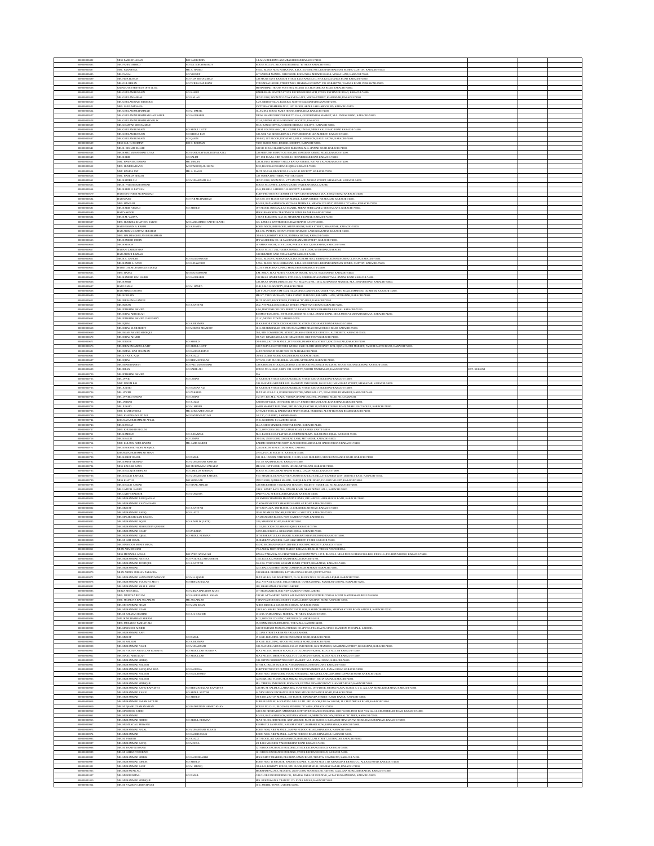| 000000000482                 | <b>IISS FARHAT JAHAN</b>                                            | TO SAMILIDDIN                             | , LAILA BUILDING ARAMBAGH ROAD KARACHI-74200                                                                                                                                                                  |             |  |
|------------------------------|---------------------------------------------------------------------|-------------------------------------------|---------------------------------------------------------------------------------------------------------------------------------------------------------------------------------------------------------------|-------------|--|
| 00000000483<br>000000000487  | <b>MP FARIM ARMED</b><br>MST. FARAHNAZ                              | <b>SO S.A. SOHARWARDY</b><br>MR. A. HAMID | HOUSE NO.1471, BLOCK-14 FEDERAL 'B' AREA KARACHI-7595<br>F-55/4, BLOCK NO.8, KEHKASAN, K.D.A. SCHEME NO.5, BEHIND SHADMAN HOMES, CLIFTON, KARACHI-75600                                                       |             |  |
| 000000000495                 | MR. FAISAL                                                          | SO YOUSUF                                 | 447 SARDAR MANZE, 3RD FLOOR, ROOM NO.6, MIRAPIR GALI-4, MOSSA LANE, KARACHI-75660                                                                                                                             |             |  |
| 000000000499                 | <b>GR. FIDA HUSAIN</b>                                              | SO FIDA MUHAMMAD                          | CO SECRETARY KARACHI STOCK EXCHANGE LTD. STOCK EXCHANGE ROAD KARACHI-74000                                                                                                                                    |             |  |
| 000000000503                 | <b>GR. GUL REHAN</b>                                                | O TURRA BAZ KHAP                          | YOUSAFZAI HOUSE, STREET NO.3, SHADMAN COLONY, P.O. KABABYAN, WARSAK ROAD, PESHAWAR-2500                                                                                                                       |             |  |
| 000000000506<br>000000000512 | RINDLAYS SERVICES (PVT) LTD.<br>MR. GHULAM HUSSAIN                  | SO SHARIF                                 | MUHAMMADI HOUSE POST BOX NO.4661 II. CHUNDRIGAR ROAD KARACHI-74000.<br>HABIB BANK LIMITED STOCK EXCHANGE BRANCH, STOCK EXCHANGE ROAD, KARACHI-74000.                                                          |             |  |
| 000000000518                 | MR. GHULAM ABBAS                                                    | SO HM, ALI                                | 38D FLOOR, ROOM NO.5 VAYANI PALACE, MOOSA STREET, KHARADAR, KARACHI-74000.                                                                                                                                    |             |  |
| 000000000520                 | MR. GHULAM NABI SIDDIOUE                                            |                                           | A-29. SIDDIO VILLA, BLOCK-S, NORTH NAZIMABAD KARACHI-74700.                                                                                                                                                   |             |  |
| 000000000521                 | MRS. GHULAM SAFIA                                                   |                                           | VICTORIA CHAMBERS NO.2, 1ST FLOOR, ABDULLAH HAROON RD, KARACHI-74400                                                                                                                                          |             |  |
| 000000000524                 | MR. GHULAM MUHAMMAD                                                 | SOM ISMAIL                                | 30, AMINA HOUSE PARIA HOUSE, KHARADAR KARACHI-74000.                                                                                                                                                          |             |  |
| 000000000527<br>00000000528  | MR. GHULAM MUHAMMAD HAJI HABIB<br>MR. GHULAM MUHAMMAD MALIK         | <b>SO HAILHABIB</b>                       | ZIKAR HAMEED BROTHERS LTD 126-A, GORDHANDAS MARKET, M.A. JINNAH ROAD, KARACHI-74000<br>122/A, SINDHI MUSLIM HOUSING SOCIETY, KARACHI.                                                                         |             |  |
| 000000000529                 | <b>GR. GHAFFAR MUHAMMAD</b>                                         |                                           | NO.8, RANGOONWALA HOUSE DHORAII COLONY, KARACHI-7480                                                                                                                                                          |             |  |
| 000000000534                 | MR. GHULAM HUSSAIN                                                  | SO ABDUL LATIF                            | C/O M. YOUNUS 406 C, M.L. COMPLEX, J.M.146, MIRZA KALIJ BAIG ROAD KARACHI-74400                                                                                                                               |             |  |
| 000000000535                 | MR. GHULAM HUSSAIN                                                  | <b>SO KHUDA BUY</b>                       | C/O AZIZ ALI KHUDA BUX K-5, PICTURE ROAD, LEA MARKET, KARACHI-75660.                                                                                                                                          |             |  |
| 000000000537<br>000000000539 | MR. GHULAM HUSSAIN<br>MISS GUL N. REHMAN                            | SO OASIM<br><b>DO H. REHMAN</b>           | OT-983, IST FLOOR, ROOM NO.5, HILAL MANSION, KAGZI BAZAR, KARACHI-74000.<br>7/172, BLOCK NO.3, D.M.C.H. SOCIETY, KARACHI-74800.                                                                               |             |  |
| 000000000541                 | MR. H. IRSHAD ELLAHI                                                |                                           | C/O SH. EHSAN ILAHI FADOO BUILDING, M.A. JINNAH ROAD, KARACHI-74000.                                                                                                                                          |             |  |
| 000000000548                 | MR. HAFIZ MUHAMMAD ILYAS                                            | S O SHAIKH AFTABUDDIN (LATE)              | CO PERFUME SUPPLY CO. 840, DR. ZIAUDDIN AHMED ROAD, KARACHI-74200.                                                                                                                                            |             |  |
| 000000000549                 | <b>MR. HABIB</b>                                                    | SO SALIM                                  | 307, UNI PLAZA, 3RD FLOOR, LL CHUNDRIGAR ROAD KARACHI-7400                                                                                                                                                    |             |  |
| 000000000551                 | IST. HAWA BAI USMAN                                                 | MR. USMAN                                 | C O ZEENAT HOSIERY MILLS RATAN STREET, RATAN TALAO KARACHI-74200                                                                                                                                              |             |  |
| 000000000552<br>000000000554 | <b>MRS. HUMERA BANO</b>                                             | <b>NO FAROOQ ALI KHAN</b>                 | D-32, BLOCK-4 GULSHAN-E-IQBAL KARACHI-75300.                                                                                                                                                                  |             |  |
| 000000000558                 | IST. HASINA JAN<br><b>IST. HAMIDA BEGUM</b>                         | MR. A. MALIK                              | PLOT NO C-61, BLOCK NO 2 K A E.C.H. SOCIETY, KARACHI-75350<br>CO VOHRA BROTHERS, PATTOKI-55300.                                                                                                               |             |  |
| 000000000561                 | <b>IR. HAIDER ALI</b>                                               | LIA GAMMAD ALI                            | 3RD FLOOR, ROOM NO.5, VAYANI PALACE, MOOSA STREET, KHARADAR, KARACHI-74000                                                                                                                                    |             |  |
| 000000000563                 | MR. H. FATEH MUHAMMAD                                               |                                           | HOUSE NO C/996 C, LANGA MANDI WATER WORKS, LAHORE.                                                                                                                                                            |             |  |
| 000000000564                 | MR. HABIB H. PATHAN                                                 |                                           | 63/A. PHASE-L LAHORE C.H. SOCIETY, LAHORE.                                                                                                                                                                    |             |  |
| 000000000579                 | IAJI ISSA TAHIR MUHAMMAD                                            |                                           | RUBY PHOTO STAT CENTRE 1/8 NEW CLOTH MARKET M.A. JINNAH ROAD KARACHI-74000                                                                                                                                    |             |  |
| 000000000584<br>000000000586 | <b>GILFAR ILFA</b><br>IRS. HAWA BI                                  | O TAR MUHAMMAD                            | GK-5:50, 1ST FLOOR FATIMA MANZIL, PARIA STREET, KHARADAR, KARACHI-74000<br>B-3413, RAZLA MANSION KUTIANA MOHALLA, MEMON COLONY, FEDERAL "B" AREA, KARACHI-7595                                                |             |  |
| 000000000591                 | MR. HABIB AHMAD                                                     | SO ABJED                                  | IST FLOOR, INSHAALLAH MANZIL, MIRAN PEER LANE-2, MOOSA LANE, KARACHI-75660.                                                                                                                                   |             |  |
| 000000000599                 | <b>BOOAAY ILAH</b>                                                  |                                           | M S KUKASWADIA TRADING CO. JODIA BAZAR KARACHI-74000.                                                                                                                                                         |             |  |
| 000000000604                 | <b>GR. H.M. YAHYA</b>                                               |                                           | I STAR BUILDING, A.M. 10, SHAHRAH-E-LIAQAT, KARACHI-74200.                                                                                                                                                    |             |  |
| 000000000607                 | MRS. HUMYRA KHATOON SAIYID                                          | <b>IN O JARI AHMED SAIYID (LATE)</b>      | 545, LANE 11, WESTRIDGE-II, RAWALPINDI CANTT-46000.                                                                                                                                                           |             |  |
| 000000000608<br>000000000610 | HAJI HUSSAIN A. KARIM<br><b>IAII ABDUL CHAFFAR IBRAHIM</b>          | <b>SO A KARIM</b>                         | ROOM NO.29, 3RD FLOOR, AMINA HOUSE, PARIA STREET, KHARADAR, KARACHI-74000.<br>BR-1/56, JAFFERY CHOWK FEDOO RAHMOO LANE KHARADAR KARACHI-74000                                                                 |             |  |
| 000000000611                 | <b>GRS. HALIMA GHULAM MUHAMMAD</b>                                  |                                           | OT-6/143, BOMBAY HOUSE, BOMBAY BAZAR, KARACHI-74000.                                                                                                                                                          |             |  |
| 000000000613                 | <b>IR. HAMEED UDDIN</b>                                             |                                           | MS WAHEED & CO. 14 SALEH MOHAMMED STREET, KARACHI-7400                                                                                                                                                        |             |  |
| 000000000516                 | <b>MR. HAROON</b>                                                   |                                           | 39 AMINA HOUSE, 4TH FLOOR, PARIA STREET, KHARADAR, KARACHI-7400                                                                                                                                               |             |  |
| 00000000617                  | <b>IAIIANI ZAIBUNNISA</b>                                           |                                           | HOUSE NO.O.T 2/14, HAJIRA MANZIL, 1ST FLOOR, MITHADAR, KARACHI,                                                                                                                                               |             |  |
| 000000000618                 | <b>IAII ABDUR RAZZAK</b>                                            |                                           | C/O EBRAHIM GANI JODIA BAZAR KARACHI-74000                                                                                                                                                                    |             |  |
| 000000000621<br>000000000622 | MR. H.A. GAFFAR<br>MR. HAMID A DAUD                                 | <b>COWAG BAR OF</b><br>SO H. DAWOOD       | F-55/4, BLOCK-8, KEHKASAN, K.D.A. SCHEME NO.5, BEHIND SHADMAN HOMES, CLIFTON, KARACHI-75600.<br>F-55/4, BLOCK NO.8, KEHKASAN, K.D.A. SCHEME NO.5, BEHIND SHADMAN HOMES, CLIFTON, KARACHI-75600                |             |  |
| 000000000625                 | HAJEE LAL MUHAMMAD SIDDIQI                                          |                                           | CLOTH MERCHANT, PIPAL MANDI PESHAWAR CITY-25000.                                                                                                                                                              |             |  |
| 00000000633                  | <b>GRS. HAJRA</b>                                                   | W.O. MUHAMMAI                             | EM. AMLA, FLAT NO.B-5, VARACHA HOUSE, IV-C/10, NAZIMABAD, KARACHI-74600.                                                                                                                                      |             |  |
| 000000000635                 | <b>IR. HAMEED HAII HABIB</b>                                        | O HAII HABIB                              | CO ZIKAR HAMEED BROS. LTD. 126-A, GORDHANDAS MARKET M.A. JINNAH ROAD KARACHI-74000.                                                                                                                           |             |  |
| 000000000636<br>00000000637  | MR. HAMID<br><b>LAJI USMAN</b>                                      | SO M. HAMID                               | CO ZIKAR HAMEED BROS LTD. P.O. BOX NO.4700, 126-A, GODANDAS MARKET, M.A. JINNAH ROAD, KARACHI-74000<br>83-B, S.M.C.H. SOCIETY, KARACHI-74400.                                                                 |             |  |
| 000000000638                 | AMOOL GENERA IIAI                                                   |                                           | C/O YUSUF USMAN IM-745/4, ALMADINA GARDEN, BAHADUR YAR, JANG ROAD, JAMSHEED QUARTER, KARACHI-74800.                                                                                                           |             |  |
| 000000000640                 | <b>MR. HOOSAIN</b>                                                  |                                           | MR-5/7, TRICUM CHAND, TARA CHAND BUILDING, KHUSHAL LANE, MITHADAR, KARACHI-74000.                                                                                                                             |             |  |
| 000000000651                 | MR. IBRAHIM ALAMJEE                                                 |                                           | PLOT NO.607, BLOCK NO.9, FEDERAL "B" AREA, KARACHI-75950.                                                                                                                                                     |             |  |
| 000000000660                 | MR. IMRAN                                                           | <b>SO A SATTAR</b>                        | 29/2, ATTAUL LODGE MILLS STREET, PAKISTAN CHOWK KARACHI-74200.                                                                                                                                                |             |  |
| 000000000661                 | MR. IFTIKHAR AHMED                                                  |                                           | A-96, DARVESH COLONY BEHIND 2 BANGLOR TOWN SHAHRAH-E-FAISAL KARACHI-75350                                                                                                                                     |             |  |
| 00000000065<br>000000000664  | MR. IQBAL ABDULLAH<br><b>B. IFTIKHAR AHMED CHOUDHRY</b>             |                                           | REHMAT BUILDING, IST FLOOR, ROOM NO.7, M.A. JINNAH ROAD, NEAR MOULVI MUSAFIR KHANA, KARACHI-74200<br>151-C, MODEL TOWN, LAHORE-54700.                                                                         |             |  |
| 000000000667                 | MR. IQBAL                                                           | <b>SO A REHMAN</b>                        | 49 KARACHI STOCK EXCHANGE BLDG STOCK EXCHANGE ROAD KARACHI-74000.                                                                                                                                             |             |  |
| 000000000668                 | MR TOBAT M MEARHOY                                                  | <b>SO MOIZ M. MIABHOY</b>                 | 16.4 SHARRIPARAD OFF: SIT TAN ARMED SHAH ROAD DRIGH ROAD KARACHL2539)                                                                                                                                         |             |  |
| 00000000669                  | MR. ISLAM AHMED SIDDIQUI                                            |                                           | 791. STH COMMERCIAL STREET, PHASE-V DEFENCE OFFICE H. AUTHORITY, KARACHI-75500.                                                                                                                               |             |  |
| 000000000670                 | MR. JOBAL AHMED                                                     |                                           | OT-7/27, IMAMWADA LANE OJKA HOUSE, OLD TOWN KARACHI-74000.                                                                                                                                                    |             |  |
| 000000000671<br>000000000676 | <b>MR. IDREES</b><br>MR. IBRAHIM ABDUL LATE                         | <b>GENED SS</b><br>SO ABDUL LATE          | OT-8/108, ZAITUN MANZIL, IST FLOOR, DIAMWADA STREET, KAGZI BAZAR, KARACHI-74000.<br>CO NAGINA CLOTH STORE WHOLE SALE CLOTH MERCHANT, B.24, IQBAL CLOTH MARKET, FAKHRE MATRI ROAD, KARACHE-74000.              |             |  |
| 000000000681                 | MR. ISMAIL HAJI SULEMAN                                             | SO HAJI SULEMAN                           | ALTAF HUSSAIN ROAD NEW CHALL KARACHI-74000.                                                                                                                                                                   |             |  |
| 000000000691                 | <b>GR. ILYAS A. AZIZ</b>                                            | <b>O A AZIZ</b>                           | OT-6/113, 3RD FLOOR, KAGZI BAZAR, KARACHI-74000                                                                                                                                                               |             |  |
| 000000000697                 | MR. IQBAL                                                           | <b>SO REHMATULLAH</b>                     | O.T.5/35, 2ND FLOOR, HILAL MANZIL, MITHADAR, KARACHI-74000.                                                                                                                                                   |             |  |
| 000000000698                 | MR. IMAM BAKHSH                                                     | <b>SO FAIZ MUHAMMAD</b>                   | C/O KARACHI STOCK EXCHANGE LTD STOCK EXCHANGE BUILDING STOCK EXCHANGE ROAD KARACHI-74000.                                                                                                                     |             |  |
| 000000000699                 | <b>MR. IREAN</b>                                                    | LIA SIBAZ OZ                              | HOUSE NO.A-156C, SAIFY C.H. SOCIETY, NORTH NAZIMABAD, KARACHI-74700                                                                                                                                           | MST. KULSUM |  |
| 000000000700                 | MR. IFTIKHAR AHMED                                                  |                                           | N/A                                                                                                                                                                                                           |             |  |
| 000000000703<br>000000000704 | MR. JAWID<br><b>MST. JENUM BAI</b>                                  | S O USMAN                                 | 17 KARACHI STOCK EXCHANGE BLDG STOCK EXCHANGE ROAD KARACHI-74000.<br>C/O AMANULLAH UMER GUL MANSION, 2ND FLOOR, GK-3/21-22, IMAM BARA STREET, KHARADAR, KARACHI-74000.                                        |             |  |
| 000000000705                 | <b>MR. JUNAID</b>                                                   | S O HASSAN ALL                            | 66 KARACHI STOCK EXCHANGE BLDG STOCK EXCHANGE ROAD KARACHI-74000                                                                                                                                              |             |  |
| 000000000706                 | <b>IR. JAWED</b>                                                    | <b>SO ZAKARIA</b>                         | FLAT NO.213 & 214, KOHINOOR CENTRE, MARSHALL ST., NEAR JUBILEE MARKET, KARACHI-74400                                                                                                                          |             |  |
| 000000000708                 | MR. JAWEED USMAN                                                    | S O USMAN                                 | J.M. 697, B-8, M.L. PLAZA, FATIMA JINNAH COLONY, JAMSHED ROAD NO.3, KARACHI.                                                                                                                                  |             |  |
| 000000000723                 | <b>MR. JABBAR</b>                                                   | <b>SO A AZIZ</b>                          | ABOO COTTAGE, 1ST FLOOR, BR-1/27, FADDO REHMO LANE, KHARADAR, KARACHI-74000.                                                                                                                                  |             |  |
| 000000000728<br>000000000733 | <b>IR. JUNAID</b><br><b>IST. KHAIRUNNISA</b>                        | <b>SOM SHOEB</b><br>MR. GHULAM HUSSAIN    | SABIR MARKET BUILDING, 3RD FLOOR, FLAT NO.12, WATER COURSE ROAD, NEAR LIGHT HOUSE, KARACHI-74200.<br>ANTARIA TOOL & HARDWARE MART ESMAIL BUILDING ALTAF HUSSAIN ROAD KARACHI-74000                            |             |  |
| 000000000739                 | MRS. KHADIJA WAJID ALI                                              | <b>ILO SYED WAILD ALL</b>                 | 1-F.C.C., GULBERG, LAHORE-54660.                                                                                                                                                                              |             |  |
|                              |                                                                     |                                           |                                                                                                                                                                                                               |             |  |
| 000000000744                 | KHAWAJA MUHAMMAD AFZAL                                              |                                           | 37-G, GULBERG-III, LAHORE-54660.                                                                                                                                                                              |             |  |
| 000000000746                 | <b>IR. KASSAM</b>                                                   |                                           | 204-A, SHOE MARKET, NISHTAR ROAD, KARACHI-74400                                                                                                                                                               |             |  |
| 000000000747                 | <b>IRS. KHURSHID BEGUM</b>                                          |                                           | B-12, OFFICERS COLONY, GHAZI ROAD, LAHORE CANTT-54810                                                                                                                                                         |             |  |
| 000000000751                 | <b>IR. KAMRAN</b>                                                   | O A RAZZAK                                | FL-3, BLOCK 13-B, FLAT NO.15-C MEMON PLAZA, GULSHAN-E-IQBAL, KARACHI-75300                                                                                                                                    |             |  |
| 000000000756<br>000000000764 | MR. KHALID<br><b>IST. KULSUM AMIR KARIMI</b>                        | <b>SO USMAN</b><br>MR. AMIR KARIMI        | 0T-236, 2ND FLOOR, CROOKAD LANE, MITHADAR, KARACHI-74000                                                                                                                                                      |             |  |
| 000000000771                 | MR. KHURSHID ALAM MAOBUL                                            |                                           | KARIMI CORPORATION OPP: ILACO HOUSE ABDULLAH HAROON ROAD KARACHI-74400<br>, ALBERUNI STREET, ICHHARA, LAHORE.                                                                                                 |             |  |
| 000000000772                 | <b>SHAWAIA MUHAMMAD SHAFI</b>                                       |                                           | 2/73-J, P.E.C.H. SOCIETY, KARACHI-75400.                                                                                                                                                                      |             |  |
| 000000000780                 | MR. KASHIF ISMAIL                                                   | S O ISMAIL                                | CO. H.A. HUSEIN, 5TH FLOOR, 513-515, K.S.E. BUILDING, STOCK EXCHANGE ROAD, KARACHI-74000.                                                                                                                     |             |  |
| 000000000782                 | MR. KASHIF ARSHAD                                                   | S O MUHAMMAD ARSHAD                       | 5-D, 1/3 NAZIMABAD-V, KARACHI-74600.                                                                                                                                                                          |             |  |
| 000000000784                 | IISS KAUSAR BANO                                                    | O MUHAMMAD ZAKARL                         | MR-5/45, 1ST FLOOR, GREEN HOUSE, MITHADAR, KARACHI-74000.                                                                                                                                                     |             |  |
| 000000000785<br>000000000786 | <b>GR. KHALIQUR REHMAI</b>                                          | O JAMILUR REHMAN                          | HOUSE NO 5/805, NEAR SINDHI HOTEL, LIAQATABAD, KARACHI-7590                                                                                                                                                   |             |  |
| 000000000790                 | MR. KHALID RAFIQUE<br><b>ISS KHATIJA</b>                            | <b>SO MUHAMMAD RAFIQU</b><br>3 O SODAGAR  | F-77, PHASE-II, DEFENCE VIEW, MAIN SHAHEED-E-MILLAT EXPRESS WAY, DISTRICT EAST, KARACHI-75500<br>2ND FLOOR, QURISHI MANZIL, FAKQR-E-MATRI ROAD, P.O. BOX NO.6387, KARACHI-74000                               |             |  |
| 000000000798                 | MR. KHALID AHMAD                                                    | <b>SO NISAR AHMAD</b>                     | C/O KHURSHEED, 73-KOKHAN HOUSING SOCIETY, HUDER ALI ROAD, KARACHI-74800.                                                                                                                                      |             |  |
| 000000000801                 | MR. LATIF H. HAMID                                                  |                                           | CO H. HAMID & CO. M.A. JINNAH ROAD, NEAR DENSO HALL, KARACHI-74000                                                                                                                                            |             |  |
| 000000000802                 | MR. LATIF SHAKOOR                                                   | SO SHAKOOR                                | DARYA LAL STREET, JODIA BAZAR, KARACHI-74000.                                                                                                                                                                 |             |  |
| 000000000828                 | MR. MUHAMMAD TARIQ ADAM                                             |                                           | 3/8 HYDRI CHAMBERS MAGAZINE LINES, OFF: ABDULLAH HAROON ROAD, KARACHI-74400                                                                                                                                   |             |  |
| 000000000829<br>000000000832 | MR. MUHAMMAD YAHYA FAKIH<br><b>IR. MUNAF</b>                        | <b>SO A SATTAR</b>                        | 37 KOKAN SOCIETY SHAHEED-E-MILLAT ROAD KARACHI-74800<br>307 UNI PLAZA, 3RD FLOOR, LL CHUNDRIGAR ROAD, KARACHI-74000                                                                                           |             |  |
| 000000000833                 | MP MUHAMMAD RAFIQ                                                   | <b>SO H. AZIZ</b>                         | 195-B ADAMJEE NAGAR, KUTCHI C.H. SOCIETY, KARACHI-75350.                                                                                                                                                      |             |  |
| 000000000841                 | MR. MALIK GHULAM RASOOL                                             |                                           | 8-AURANGZEB BLOCK, NEW GARDEN TOWN, LAHORE-16                                                                                                                                                                 |             |  |
| 000000000845                 | TROA GAMANATI M                                                     | SO A MALIK (LATE)                         | 126. MARRIOT ROAD, KARACHI-74000.                                                                                                                                                                             |             |  |
| 000000000851<br>000000000853 | MR. MUHAMMAD MOHIUDDIN QURESHI<br>MR. MUHAMMAD HANIF                | S O ZAKARIA                               | C-151. BLOCK-9 GULSHAN-E-IOBAL KARACHI-75700.<br>C/195, BLOCK NO.6, GULSHANE-IQBAL, KARACHI-75300.                                                                                                            |             |  |
|                              | <b>OF MERAMMAD TORA</b>                                             | <b>SO ABDUL RE</b>                        | STH BARKATULLAH MANZIL MAHABAT KHANJEE RO                                                                                                                                                                     |             |  |
| 000000000858                 | IR. M. ASIF IQBAL                                                   |                                           | 8, BARKAT MANSION, QAZI AZIZ STREET, LYARI, KARACHI-7566                                                                                                                                                      |             |  |
| 000000000859                 | <b>IR. MANSOOR MUNIR MIRZA</b>                                      |                                           | 32-K, BADBAN PHASE-V, DEFENCE HOUSING SOCIETY, KARACHI-7550                                                                                                                                                   |             |  |
| 000000000361<br>000000000862 | <b>ILAN AHMED SHAH</b>                                              |                                           | VILLAGE & POST OFFICE ZIARAT KAKA SAHIB-24130. TEHSIL NOWSHEHRA                                                                                                                                               |             |  |
| 000000000865                 | <b>IISS MUNAZZA ANSAR</b><br><b>MR. MUHAMMAD AKHTAR</b>             | O SYED ANSAR ALI<br>SO EXTERES AR OFFICER | HASAN TABANI & CO. CHARTERED ACCOUNTANTS, 187-P, BLOCK-2, NEAR PECHS GIRLS COLLEGE, P.E.C.H.S., P.O. BOX NO.8922, KARACHI-75400<br>C-58, BLOCK-L NORTH NAZIMABAD, KARACHI-74700.                              |             |  |
| 00000000367                  | <b>GR. MUHAMMAD TOUFIQUE</b>                                        | SO A SATTAR                               | GK-2/16, STH FLOOR, KASSAM HUMIR STREET, KHARADAR, KARACHI-74000                                                                                                                                              |             |  |
| 000000000369                 | MR. MUHAMMAD                                                        |                                           | 125 CHAGLA STREET NEAR GORDHANDAS MARKET KARACHI-74000                                                                                                                                                        |             |  |
| 000000000870                 | MIAN ABDUL SUBHAN PARACHA                                           |                                           | CO KHALIL BROTHERS, FATIMA JINNAH ROAD, OUETTA-87300.                                                                                                                                                         |             |  |
| 000000000872<br>000000000878 | MR. MUHAMMAD SANAUDDIN MASOOD<br><b>IR. MUHAMMAD YOUSUE S. MOTI</b> | SO M.A. QADIR<br><b>SO REHMATULLAR</b>    | FLAT NO.B-5, ALI APARTMENT, FL-10, BLOCK NO.3, GULSHAN-E-IQBAL KARACHI-75300<br>29/2, ATTA-UL-LODGE, MILLS STREET, OUTRAM ROAD, PAKISTAN CHOWK, KARACHI-7429                                                  |             |  |
| 000000000882                 | IR. MUHAMMAD KHALIL MLAN                                            |                                           | 88, SHAH JAMAL COLONY LAHORE                                                                                                                                                                                  |             |  |
| 00000000883                  | <b>GRZA SHER DILL</b>                                               | S O MIRZA BAHADUR KHAN                    | 177 ABUBAKER BLOCK NEW GARDEN TOWN LAHORE.                                                                                                                                                                    |             |  |
| 00000000888                  | <b>IRS. MUNITAZ BEGUM</b>                                           | SO SHAIKH ABDUL SALAM                     | ON SH. ATTA MORD ARDEE SALAM STOCKISTS DISTRIBUTORS & AGENT MAIN RAZAR IRELEMATION                                                                                                                            |             |  |
| 000000000885<br>000000000892 | IST. MAIMUNA BAI SULAIMAN<br>GR. MOHAMMAD SHAFT                     | <b>MR. SULAIMAN</b><br>O MLAN KHAN        | 9 MANIYA HOUSING SOCIETY JAMALUDDIN AFGHANI ROAD KARACHI-74800<br>72-D.2, BLOCK-4, GULSHAN-E-IQBAL, KARACHI-75300.                                                                                            |             |  |
| 000000000894                 | MR. MUHAMMAD AZAM                                                   |                                           | C/O P.S.O. SHARE DEPARTMENT 1ST FLOOR, KARIM CHAMBERS, MEREWEATHER ROAD, SADDAR, KARACHI-75530.                                                                                                               |             |  |
| 000000000895                 | MR. M. SALMAN HASHMI                                                | SO A.H. HASHMI                            | 1312/18, SAMANABAD, FEDERAL 'B' AREA, KARACHI-75950.                                                                                                                                                          |             |  |
| 000000000396                 | <b>JALIK MUHAMMAD AKRAM</b>                                         |                                           | B-12, OFFICER COLONY, GHAZI ROAD, LAHORE-54810.                                                                                                                                                               |             |  |
| 000000000897<br>000000000900 | IRS. MUSARAT FARHAT ALI                                             |                                           | 59, COMMERCIAL BUILDING, THE MALL, LAHORE-54000.                                                                                                                                                              |             |  |
| 00000000000                  | <b>MR. MANSOOR AHMED</b>                                            |                                           | CO STANDARD MANUFACTURING CO. (PVT) LTD 4-DAYAL SINGH MANSION, THE MALL, LAHORE.<br>22 GIAN STREET KRISHAN NAGAR LAHORE.                                                                                      |             |  |
| 000000000904                 | <b>MR. MUHAMMAD RAFI</b><br><b>MR. MUNAF</b>                        | <b>SO ISMAIL</b>                          | 17 K.S.E. BUILDING, STOCK EXCHANGE ROAD, KARACHI-74000.                                                                                                                                                       |             |  |
| 000000000905                 | MR. M. SALEEM                                                       | <b>SO A REHMAN</b>                        | 49 K S F. BUILDING, STOCK EXCHANGE ROAD, KARACHL74000                                                                                                                                                         |             |  |
| 00000000008                  | MR. MUHAMMAD NASIR                                                  | SO MUHAMMAD                               | C/O AMANULLAH UMAR GK-3/21-22, 2ND FLOOR, GUL MANSION, DIAMBARA STREET, KHARADAR, KARACHI-74000                                                                                                               |             |  |
| 000000000911                 | MR. M. YOUSUF ABDULLAH BUMBIYA                                      | SO ABDULLAH BUMBIYA                       | FLAT NO. 15 C MEMON PLAZA, FL-3 GULSHAN-E-IQBAL, BLOCK NO. 13/B KARACHI-75300                                                                                                                                 |             |  |
| 000000000923                 | IR. MAJID ABDULLAH<br><b>IR. MUHAMMAD SIDDIQ</b>                    | O ABDULLAH                                | LAT NO.15-C MEMON PLAZA, FL-3 GULSHAN-E-IQBAL, BLOCK NO.13/B KARACHI-753<br>O ARTEX CORPORATION SIND MARKET, M.A. JINNAH ROAD, KARACHI-74000                                                                  |             |  |
| 000000000931                 | <b>GR. MUHAMMAD SALEEM</b>                                          |                                           | <b>6TH H.A. JAILOR BUILDING ATMARAM ROAD MOSSA LANE KARACHI-75660</b>                                                                                                                                         |             |  |
| 000000000932                 | MR. MUHAMMAD RAFIQ HAII ISSA                                        | O HAJI ISSA                               | RUBY PHOTO STAT CENTRE 1/8 NEW CLOTH MARKET M.A. JINNAH ROAD KARACHI-740                                                                                                                                      |             |  |
| 000000000934                 | MR. MUHAMMAD SALEEM                                                 | SO HAILAHMED                              | ROOM NO.7, 2ND FLOOR, YOUSUF BUILDING, WEAVER LANE, ADAMJEE DAWOOD ROAD, KARACHI-74000                                                                                                                        |             |  |
| 000000000935                 | <b>GR. MUHAMMAD SALEEM</b>                                          |                                           | 276-849, 3RD FLOOR, MUHAMMAD SHAH STREET, JODIA BAZAR, KARACHI-74000.                                                                                                                                         |             |  |
| 000000000936<br>000000000939 | MR. MUHAMMAD SIDDIQUE<br>MR. MUHAMMAD RAFIQ KAPADIYA                | SO REHMATULLAH KAPADIYA                   | ML. TEREES, 2ND FLOOR, ROOM 5/A, FATIMA JINNAH COLONY 3 JAMSHID ROAD, KARACHI-74800.<br>C/O MR. M. SALIM ALLAHRAKHA, FLAT NO.103, 1ST FLOOR, SHAMA PLAZA, BLOCK A-1, G. ALLANA ROAD, KHARADAR, KARACHI-74000. |             |  |
| 000000000941                 | MR. MUHAMMAD YASIN                                                  | S O ABDUL SATTAR                          | 44 NEW STOCK EXCHANGE BUILDING STOCK EXCHANGE ROAD, KARACHI-74000.                                                                                                                                            |             |  |
| 000000000946                 | <b>IR. MUHAMMAD</b>                                                 | O ABBED                                   | OT-8/108, ZAITUN MANZIL, 1ST FLOOR, IMAMWADA STREET, KAGZI BAZAR, KARACHI-74000                                                                                                                               |             |  |
| 000000000958                 | IR. MUHAMMAD ASLAM SATTAR                                           |                                           | JUBILEE SPINING & WEAVING MILLS LTD. 3RD FLOOR, FINLAY HOUSE, LL CHUNDRIGAR ROAD, KARACHI-7400                                                                                                                |             |  |
| googgooses<br>000000000960   | MR. M. QAMRUZZAMAN KHAN<br>MR. MAOBOOL SADIO                        | SO BADRUDDIN AHMED KHAN                   | HOUSE NO.C-111, BLOCK-10, FEDERAL "B" AREA, KARACHI-75950.<br>CO HAILKHUDA BUX AMIR UMER COTTON EXCHANGE BUILDING. 3RD FLOOR, POST BOX NO.2124. LL CHUNDRIGAR ROAD: KARACHI-74000.                            |             |  |
| 000000000961                 | <b>GR. MUHAMMAD</b>                                                 |                                           | B-3/413. RAZIA MANSION. KUTIANA MOHALLA, MEMON COLONY, FEDERAL "B" AREA, KARACHI-1                                                                                                                            |             |  |
| 000000000965                 | <b>GR. MUHAMMAD SIDDIQ</b>                                          | SO ABDUL REHMAN                           | FLAT NO.301, 3RD FLOOR, ARIF ARCADE, PLOT-48, BLOCK-3, BAHADUR SHAH ZAFAR ROAD, BAHADURABAD, KARACHI-74800                                                                                                    |             |  |
| 000000000967                 | MR. MUMTAZ ALI PIRWANI                                              |                                           | REHMATULLA MANZIL, KASSIM STREET, RAMPART ROW, KHARADAR, KARACHI-74000.                                                                                                                                       |             |  |
| 000000000973                 | <b>GR. MUHAMMAD AFZAL</b>                                           | SO MUHAMMAD HUSAIN                        | ROOM NO.S, ARIF MANZIL, JAFFAR FUDDOO ROAD, KHARADAR, KARACHI-74000                                                                                                                                           |             |  |
| 000000000974                 | MR. MUHAMMAD                                                        | S O HAII HUSSAIN                          | ROOM NO.S, ARIF MANZIL, JAFFAR FUDDOO ROAD, KHARADAR, KARACHI-7400                                                                                                                                            |             |  |
| 000000000983<br>000000000987 | <b>IR. M. JAWEED</b><br><b>GR. MUHAMMAD RAFIQ</b>                   | 0 A AZZ<br><b>COMOOSA</b>                 | IST FLOOR, ALI AKBAR MANSION, HAII ABDULLAH STREET, MITHADAR KARACHI-74000<br>49 RAJA MANSION YAKOOB KHAN ROAD KARACHI-74200                                                                                  |             |  |
| 000000000988                 | MR. M. HANIF NOORANI                                                |                                           | 121 STOCK EXCHANGE BUILDING, STOCK EXCHANGE ROAD, KARACHI-7401                                                                                                                                                |             |  |
| 000000000985                 | MR. M. ASHRAF NOORANI                                               |                                           | 21 STOCK EXCHANGE BUILDING, STOCK EXCHANGE ROAD, KARACHI-74000                                                                                                                                                |             |  |
| 000000000992                 | <b>GR. MUHAMMAD SIDDIK</b>                                          | <b>SO HAJI EBRAHIM</b>                    | MS KISMAT TRADERS, PRATHNA SAMAJ ROAD, THATTAI COMPOUND, KARACHI-74200                                                                                                                                        |             |  |
| 000000000997<br>000000001001 | MR. MUHAMMAD IDRESS<br>MR. MUHAMMAD RAUF                            | GENED &<br>SOM SIDDIQ                     | ROOM NO.7, 4TH FLOOR, BAGSRA SQUARE B., NEAR MCB LTD. KHARADAR BRANCH, G. ALLANA ROAD, KARACHI-74003.<br>OT-6/143, BOMBAY HOUSE, 5TH FLOOR, ROOM NO.11, BOMBAY BAZAR, KARACHI-74000.                          |             |  |
| 000000001005                 | IR. MUNAWAR ALI                                                     |                                           | MARRIAM PALACE, BLOCK-B, 2ND FLOOR, ROOM NO.201, GK-698, G.ALLANA ROAD, KHARADAR, KARACHI-7400                                                                                                                |             |  |
| 000000001007                 | <b>GR. MUNIR ISMAIL</b>                                             | O ISMAIL                                  | TO GLOBE ENGINEERING CO., DAVDAS PARAGII BUILDING, ALTAF HUSSAIN ROAD, KARACHI-740                                                                                                                            |             |  |
| 000000001010<br>000000001014 | <b>IR. MUHAMMAD SIDDIQUE</b><br>MR. M. YAMEEN UDDIN HAQQI           |                                           | MS. KUKASWADIA TRADING CO. JODIA BAZAR, KARACHI-74000<br>30-C, MODEL TOWN, LAHORE-54700.                                                                                                                      |             |  |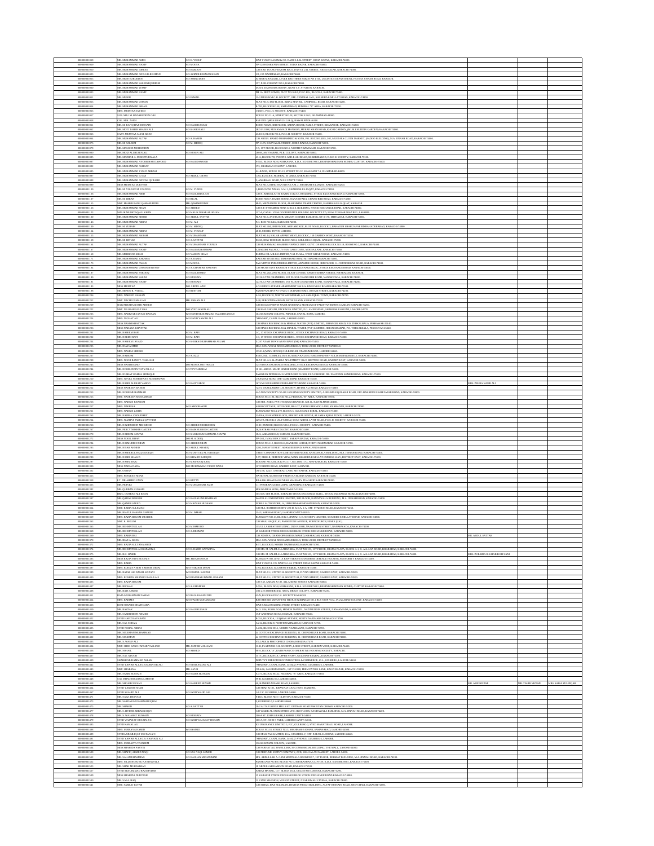| 000000001018                                 | MR. MUHAMMAD AMIN                                             | <b>SOH YUSUF</b>                                                  | AR YUSUF KASAM & CO. DARYA LAL STREET, JODIA BAZAR, KARACHI-74000.                                                                                                                                                                       |                                      |                  |                     |
|----------------------------------------------|---------------------------------------------------------------|-------------------------------------------------------------------|------------------------------------------------------------------------------------------------------------------------------------------------------------------------------------------------------------------------------------------|--------------------------------------|------------------|---------------------|
| 000000001019<br>000000001020                 | MR. MUHAMMAD HANIF<br>MR. MUHAMMAD IDREES                     | SO MOOSA<br>SO HAROON                                             | P-12/69 DARYANA STREET, JODIA BAZAR, KARACHI-74000.<br>C/O HAJI YOUSUF KASAM & CO. DARYA LAL STREET, JODIA BAZAR, KARACHI-74000                                                                                                          |                                      |                  |                     |
| 000000001023                                 | MR. MUHAMMAD ANIS-UR-REHMAN                                   | S O AZIZUR REHMAN KHAN                                            | 2, 2-D NAZIMABAD, KARACHI-74600.                                                                                                                                                                                                         |                                      |                  |                     |
| 000000001025                                 | MR. MUNTAJBUDDIN                                              | O AMINUD                                                          | NIOR MANAGER, LEVER BROTHERS PAKISTAN LTD., LOGISTICS DEPARTMENT, FATIMA JINNAH ROAD, KARACHI                                                                                                                                            |                                      |                  |                     |
| 00000000102<br>000000001030                  | MR. MUHAMMAD SALEEM QURESHI<br>MR. MUHAMMAD WASIF             |                                                                   | 77, P.I.B. COLONY NO.2, KARACHI-74800.<br>261, DAWOOD COLONY, NEAR T.V. STATION, KARACHI                                                                                                                                                 |                                      |                  |                     |
| 000000001033                                 | MR. MUHAMMAD HANIF                                            |                                                                   | PH 1A. BEST HOMES, PLOT NO.160-F. P.E.C.H.S., BLOCK-3, KARACHI-75400                                                                                                                                                                     |                                      |                  |                     |
| 000000001051<br>000000001053                 | MR. MUNIR<br>MR. MUHAMMAD USMAN                               | S O ESMAIL                                                        | 11/3 MUSSAINI C.H. SOCIETY, OPP. CENTRAL JAIL, SHAHEED-E-MILLAT ROAD, KARACHI-74800.<br>LAT NO.9, 3RD FLOOR, IQBAL MANZIL, CAMPBELL ROAD, KARACHI-74200.                                                                                 |                                      |                  |                     |
| 000000001054                                 | MR. MUHAMMAD ISMAIL                                           |                                                                   | -795, BLOCK NO.18, SAMANABAD, FEDERAL "B" AREA, KARACHI-75950.                                                                                                                                                                           |                                      |                  |                     |
| 000000001055                                 | MRS. MUMTAZ SAYEED                                            |                                                                   | 3/160-C, P.E.C.H. SOCIETY, KARACHI-75400.                                                                                                                                                                                                |                                      |                  |                     |
| 000000001057<br>000000001058                 | SUB. MAJ. M. BADARUDDIN O.B.I<br>COL. M.H. ZAIDI              |                                                                   | HOUSE NO.21-A, STREET NO.28, SECTOR F-10/1, ISLAMABAD-44000.<br>RVF DTE QMGS BRANCH G.H.Q., RAWALPINDI-46100                                                                                                                             |                                      |                  |                     |
| 00000000106                                  | MR. M. RAFIQ HAJI HUSSAIN                                     | O HAII HUSSAIN                                                    | OOM NO.29, 3RD FLOOR, AMINA HOUSE, PARIA STREET, KHARADAR, KARACHI-74200                                                                                                                                                                 |                                      |                  |                     |
| 000000001063                                 | MR. MOTI TAHER SHAIKH ALI                                     | <b>SO SHAIKH ALI</b>                                              | SED FLOOR, MUHAMMADI MANSION, MURAD KHAN ROAD, KHORI GARDEN, (MUSLEHUDDIN GARDEN) KARACHI-7401                                                                                                                                           |                                      |                  |                     |
| 000000001063                                 | CAPT. MUMTAZ ALI M. KHAN                                      |                                                                   | 43/10-D, BLOCK NO.6, P.E.C.H. SOCIETY, KARACHI-75400.                                                                                                                                                                                    |                                      |                  |                     |
| 000000001064<br>000000001075                 | MR. MUHAMMAD ALTAF<br>MR. M. SALEEM                           | SO A HAMID<br>SOM SIDDIQ                                          | O ABDUL HAMID MOHAMMED & SONS, P.O. BOX NO.4385, 302, MUSTAFA CLOTH MARKET, (FADOO BUILDING), M.A. JINNAH ROAD, KARACHI-74000<br>NP-11/75, DARYALAL STREET, JODIA BAZAR, KARACHI-74000.                                                  |                                      |                  |                     |
| 000000001078                                 | MR. MASOOD MOHIUDDIN                                          |                                                                   | C-5, 1ST FLOOR, BLOCK NO.5, NORTH NAZIMABAD, KARACHI-74700                                                                                                                                                                               |                                      |                  |                     |
| 000000001080                                 | MR. MOIZ ALI HUSEN ALI                                        | SO HUSEN ALL                                                      | 80-B, AMYNABAD, P.I.B. COLONY, KARACHI-74800.                                                                                                                                                                                            |                                      |                  |                     |
| 00000000108<br>000000001087                  | MR. MAZHAR A. FEROZPURWAL.<br>MR. MUHAMMAD AYOOB HAJI DAWOOD  | <b>SO HAILDAWOOD</b>                                              | 5-A, BLOCK-7/8, SYEDNA ABD-E-ALI ROAD, SHABBIRABAD, D.B.C.H. SOCIETY, KARACHI-7535<br>554, BLOCK NO.8, KEHKASAN, K.D.A. SCHEME NO.5, BEHIND SHADMAN HOMES, CLIFTON, KARACHI-75600                                                        |                                      |                  |                     |
| 000000001093                                 | MR. MUHAMMAD ASHRAF                                           |                                                                   | 73, SHADMAN COLONY, LAHORE.                                                                                                                                                                                                              |                                      |                  |                     |
| 000000001095                                 | MR. MUHAMMAD YUSUF ABBASI                                     |                                                                   | U. RAZIA, HOUSE NO.13, STREET NO.32, SHALDIAR 7-1, ISLAMABAD-4400                                                                                                                                                                        |                                      |                  |                     |
| 000000001097                                 | MR. MUHAMMAD ILYAS                                            | SO ABDUL GHANI                                                    | 194, BLOCK-6, FEDERAL B AREA, KARACHI-75950.                                                                                                                                                                                             |                                      |                  |                     |
| 000000001098<br>000000001099                 | MR. MUHAMMAD ANWAR QURASHI<br>MISS MUMTAZ DURVESH             |                                                                   | ANARKALI ROAD. WAH CANTT-74040.<br>FLAT NO.5. BHAGWAN NIVAS A.M. 2. SHAHRAH-E-LIAOAT, KARACHI-74200.                                                                                                                                     |                                      |                  |                     |
| 000000001100                                 | MR. M. YOUSUF M. YOUNUS                                       | <b>SOM YUNUS</b>                                                  | 5. BHAGWAN NIVAS, A.M. 2. SHAHRAH-E-LIAOAT, KARACHI-74200.                                                                                                                                                                               |                                      |                  |                     |
| 000000001106                                 | MR. MUHAMMAD ABID                                             | S O HAILABDULAE                                                   | CO H. ABDULLAH H. KARIM 15 K.S.E. BULDING, STOCK EXCHANGE ROAD, KARACHI-7400                                                                                                                                                             |                                      |                  |                     |
| 00000000110                                  | MR. M. IMRAN                                                  | SO BILAL                                                          | DOM NO.17, HABIB HOUSE, NANAKWADA, CHAND BIBI ROAD, KARACHI-74200                                                                                                                                                                        |                                      |                  |                     |
| 000000001115<br>000000001116                 | MST. MAHER BANU QAMARUDDIN<br>MR. MUHAMMAD SHAFT              | MR. QAMARUDDIN<br>SO ABMED                                        | 4-25, MEZZANINE FLOOR, AL-REHMAN TRADE CENTRE, SHAHRAH-E-LIAQUAT, KARACHI.<br>O H.P. BYRAMII & SONS 32 K.S.E. BUILDING, STOCK EXCHANGE ROAD, KARACHI-74000                                                                               |                                      |                  |                     |
| 000000001123                                 | MALIK MUSHTAO ALI KHAN                                        | SO MALIK NISAR ALI KHAN                                           | 17-A. CANAL VIEW COOPERATIVE HOUSING SOCIETY LTD. NEAR TOKHAR NIAZ BEG. LAHORE                                                                                                                                                           |                                      |                  |                     |
| 000000001130                                 | MR. MUHAMMAD SHOEB                                            | SO ABDUL SATTAR                                                   | LAT NO.6, 2ND FLOOR, MEMON CORNER BUILDING, OT-3/170, MITHADAR, KARACHI-74000                                                                                                                                                            |                                      |                  |                     |
| 000000001146                                 | MR. MUHAMMAD ABBAS                                            | LIA MOZ                                                           | .O. BOX NO.6464, KARACHI-74000.                                                                                                                                                                                                          |                                      |                  |                     |
| 000000001149<br>000000001154                 | MR. M. ZUBAIR<br>MR. MUHAMMAD ABBAS                           | SOM SIDDIQ<br><b>SOM YOUSUF</b>                                   | FLAT NO.304, 3RD FLOOR, ARIF ARCADE, PLOT NO.48, BLOCK-3, BAHADUR SHAH ZAFAR RD BAHADURABAD, KARACHI-74800<br>48-H, MODEL TOWN, LAHORE.                                                                                                  |                                      |                  |                     |
| 000000001155                                 | MR. MUHAMMAD AKRAM                                            | SO MUHAMMAD                                                       | FLAT NO.14, HALAR APPARTMENT, BLOCK-C, 158 GARDEN WEST, KARACHI-74550                                                                                                                                                                    |                                      |                  |                     |
| 000000001158                                 | MR. M. INTIAZ                                                 | <b>SO A SATTAR</b>                                                | 265, NEW DOHRAIL BLOCK NO.3, GHULSHA-E-IQBAL, KARACHI-7530                                                                                                                                                                               |                                      |                  |                     |
| 000000001164<br>000000001167                 | MR. MUHAMMAD ALTAF<br>MR. MUHAMMAD HANIF                      | SO MUHAMMAD YOUNU<br>SO HAILMUHAMMAD                              | COMUHAMMAD SHABBIR FINANCE DEPT. GOVT. OF SINDH BLOCK NO.19, ROOM NO.2, KARACHI-74400<br>S. NAGORI PALACE, LY-7/29, GAOO LANE, MOOSA LANE, KARACHI-75660.                                                                                |                                      |                  |                     |
| 000000001168                                 | MR. MEHBOOB SHAH                                              | <b>SO YASEEN SHAH</b>                                             | URMA OIL MILLS LIMITED. V.M. PLAZA, WEST WHARF ROAD, KARACHI-74000                                                                                                                                                                       |                                      |                  |                     |
| 000000001171                                 | MR. MUHAMMAD ZAKARIA                                          | <b>SO A KARIM</b>                                                 | KAUSAR STORE OLD DISPANSARI ROAD MITHADAR KARACHI-74000.                                                                                                                                                                                 |                                      |                  |                     |
| 000000001173                                 | MR. MUHAMMAD AWAIS                                            | SO MOOSA                                                          | PAK NIPPON INDUSTRIES LIMITED. ADAMJEE HOUSE. 3RD FLOOR. LL CHUNDRIGAR ROAD. KARACHI-74000.                                                                                                                                              |                                      |                  |                     |
| 000000001184<br>000000001187                 | MR. MUHAMMAD USMAN BAWANY<br>MR. MUHAMMAD FAROOQ              | SO A GHAFFAR BAWANY<br>SO HAILAHMEI                               | O SECRETARY KARACHI STOCK EXCHANGE BLDG., STOCK EXCHANGE ROAD, KARACHI-7400<br>LAT NO.202, 2ND FLOOR, JILANI CENTRE, BAGH-E-ZEHRA STREET, KHARADAR, KARACH                                                                               |                                      |                  |                     |
| 000000001190                                 | MR. MUHAMMAD SALIM                                            | S O HUSSAIN                                                       | 22 SULTAN CHAMBERS, IST FLOOR CHAND BIBI ROAD, NANAKWADA, KARACHI-74200                                                                                                                                                                  |                                      |                  |                     |
| 00000000119                                  | MR. MUHAMMAD HANIF                                            | S O HUSSAIN                                                       | 2 SULTAN CHAMBERS, 1ST FLOOR CHAND BIBI ROAD, NANAKWADA, KARACHI-74200.                                                                                                                                                                  |                                      |                  |                     |
| 000000001193<br>000000001198                 | MISS MUMTAZ<br>MR. MINOO R. PATELL                            | DO ABDUL AZI<br><b>SO RUSTOM</b>                                  | 7/4 SIDCO AVENUE APARTMENT 264 R.A. LINE INGLE ROAD KARACHI-75530<br>VASSIPANCHAYAT WADI, 6 DUBASH HOME, JOHAIR STREET, KARACHI-74200                                                                                                    |                                      |                  |                     |
| 000000001206                                 | MRS. NAHEED HASSAN                                            |                                                                   | 26 BLOCK-W NORTH NAZIMARAD, ALLAMA JORAL TOWN, KARACHI-24200                                                                                                                                                                             |                                      |                  |                     |
| 000000001212                                 | MST. NACHI OSMAN ALI                                          | MR. USMAN ALI                                                     | F-38, FEROZNANA ROAD, BATH ISLAND, KARACHI-75530.                                                                                                                                                                                        |                                      |                  |                     |
| 000000001219                                 | NAWABZADA NASIR AHMED                                         |                                                                   | CO BEGUM PERVIN NASIR NATIONAL MUSEUM OF PAKISTAN BURNS GARDAN KARACHI-74200                                                                                                                                                             |                                      |                  |                     |
| 000000001222                                 | MST. NILOFAR SULTANA                                          | <b>DO SYED WAILD ALL</b>                                          | O RIAZ GHOURI, PACKAGES LIMITED, P.O. AMER SIDHU, SHAHRAH-E-ROOMI, LAHORE-5477                                                                                                                                                           |                                      |                  |                     |
| 000000001223<br>000000001224                 | <b>MRS. NAMWAR JAVAID HASSAS</b><br>MRS. NIGHAT ALI           | <b>VO SYED MUHAMMAD JAVAID HASSAN</b><br><b>NO SYED YAWAR ALI</b> | 4-SHADMAN COLONY, PHASE-II, CANAL BANK, LAHORE<br>SHADAB", CANAL BANK, LAHORE-54810.                                                                                                                                                     |                                      |                  |                     |
| 000000001225                                 | MISS NASIM KHATTAI                                            |                                                                   | O MAKK BEVERAGES & MINRAL WATER (PYT) LIMITED, JEHANGIR ABAD, P.O. TEHKALBALA, PESHAWAR-25140.                                                                                                                                           |                                      |                  |                     |
| 000000001226                                 | MISS NATIARA KHATTAK                                          |                                                                   | O MAKK BEVERAGAS & MINRAL WATER (PVT) LIMITED, JEHANGIRABAD, P.O. THEKALBALA, PESHAWAR-25140.                                                                                                                                            |                                      |                  |                     |
| 000000001231                                 | MR. NASEEM RAFI                                               | <b>FIAS MOS</b>                                                   | C, 17 STOCK EXCHANGE BLDG., STOCK EXCHANGE ROAD, KARACHI-74000.<br>C. 17 STOCK EXCHANGE BLDG. STOCK EXCHANGE ROAD. KARACHI-74000.                                                                                                        |                                      |                  |                     |
| 000000001232<br>000000001234                 | MR. NAEEM RAFI<br>MR. NASEEM JAVAID                           | <b>BAS MOR</b><br>S O SHEIKH MUHAMMAD ASLAM                       | X-287 AZAM TOWN AZAM BASTI(NP) KARACHI-75460.                                                                                                                                                                                            |                                      |                  |                     |
| 000000001235                                 | MR. NIAZ AHMED                                                |                                                                   | MAJ. GEN. WISAL MUHAMMAD KHAN, TORU-23300, DISTRICT MARDAN                                                                                                                                                                               |                                      |                  |                     |
| 000000001236                                 | MRS. NASIRA SHEIKH                                            |                                                                   | 35-E-1 (MAIN HOUSE) GULBERG-III, STADIUM ROAD, LAHORE-54660                                                                                                                                                                              |                                      |                  |                     |
| 000000001237                                 | MR. NADEEM                                                    | <b>SO A AZIZ</b>                                                  | 403, M.L. COMPLEX, JM-134, MIRZA KALEEG BAIG ROAD OFF: SOLDIER BAZAR NO.2, KARACHI-74400                                                                                                                                                 |                                      |                  |                     |
| 000000001238<br>000000001243                 | MRS. NOOR BANUT. VALLIANI<br>MISS NASIM BANO                  | <b>DO MOSSA MOTIVALA</b>                                          | FLAT NO.A-5 AL-ZAHRA APARTMENT 3062, BRITTOO ROAD, GARDEN EAST, KARACHI-7480<br>525 STOCK EXCHANGE BUILDING, STOCK EXCHANGE ROAD, KARACHI-74000.                                                                                         |                                      |                  |                     |
| 000000001244                                 | MR. NOORUDDIN TAYYAB ALI                                      | <b>SO TEYYABBHAI</b>                                              | 8 SH, ABDUL MAJID SINDHI ROAD (MARRIOT ROAD) KARACHI-7400                                                                                                                                                                                |                                      |                  |                     |
| 000000001246                                 | MR. NUSRAT KAMAL SIDDIQUE                                     |                                                                   | PAKISTAN PETROLIM LIMITED 3RD FLOOR, P.LD.C HOUSE, DR. ZIAUDDIN AHMED ROAD, KARACHI-75530.                                                                                                                                               |                                      |                  |                     |
| 000000001250                                 | MRS. NEVEZ NOSHIRWAN NOSHIRWANI                               |                                                                   | 2-RAMSAY ROAD OFF: GIZRI ROAD KARACHI-75530.                                                                                                                                                                                             |                                      |                  |                     |
| 000000001251<br>000000001252                 | MR. NASIR ALI HAJI VAROO<br>MISS NASREEN BANOO                | SO HAII VAROO                                                     | 67-IM-2 GULSHENE ZEHRA BRITTO ROAD KARACHI-74800.<br>73, DARULAMAN C.H. SOCIETY, HYDIR ALI ROAD, KARACHI-74800.                                                                                                                          | <b>MRS. ZEHRA NASIR ALI</b>          |                  |                     |
| 000000001253                                 | MR. NOOR MUHAMMAD                                             |                                                                   | 45 NEW SOCIETY CO-OP. HOUSING SOCIETY LIMITED, A. REHMAN QURASHI ROAD, OFF: BAHADUR SHAH ZAFAR ROAD, KARACHI-74800                                                                                                                       |                                      |                  |                     |
| 000000001255                                 | MST. NASREEN MUHAMMAD                                         |                                                                   | IOUSE NO.1196, BLOCK NO.2, FEDERAL "B" AREA, KARACHI-75950                                                                                                                                                                               |                                      |                  |                     |
| 000000001256                                 | MRS. NARGIS KHANUM                                            |                                                                   | COMH ZAIDI, PVF DTE QMGS BRANCH, G.H.Q., RAWALPINDI-4610                                                                                                                                                                                 |                                      |                  |                     |
| 000000001257<br>000000001261                 | <b>MRS. NAFEESA</b><br>MRS. NARGIS ZAHIR                      | WO ABOOBAKER                                                      | BOO COTTAGE, 1ST FLOOR, BR-1/27, FADOO REHMOO LANE, KHARADAR, KARACHI-74000.<br>INGALOW NO.A-479, BLOCK-5, GULSHAN-E-IOBAL, KARACHI-75300                                                                                                |                                      |                  |                     |
|                                              |                                                               |                                                                   |                                                                                                                                                                                                                                          |                                      |                  |                     |
| 000000001263                                 | MR. NAJIB A CHOUDHRY                                          |                                                                   | 33 III-A, JEHANZEB BLOCK, BEHIND KALI KOTHI, ALLAMA IQBAL TOWN, LAHORE-54570                                                                                                                                                             |                                      |                  |                     |
| 000000001264                                 | MRS. NUZHAT JAMILA QAYYUM                                     |                                                                   | 29-2/A, BLOCK-2 (AL FATIMA) SHAH ABDUL LATIF ROAD, P.E.C.H. SOCIETY, KARACHI-75400                                                                                                                                                       |                                      |                  |                     |
| 000000001266                                 | MR. NAZIRUDDIN MEHMOOD                                        | <b>COURDED MONITODE</b>                                           | 5-H (ANNEXE) BLOCK NO.6, P.E.C.H. SOCIETY, KARACHI-7540                                                                                                                                                                                  |                                      |                  |                     |
| 000000001267                                 | MR. PERCY NOSHIR GAZDER                                       | SO KAIKHUSROO GAZDEF                                              | KATRAK PARSI COLONY, KARACHI-74400                                                                                                                                                                                                       |                                      |                  |                     |
| 000000001270                                 | MR. NADEEM ANWAR                                              | O SHAIKH MUHAMMAD ANWAR                                           | A, AKBAR ROAD, SADDAR, KARACHI-74400                                                                                                                                                                                                     |                                      |                  |                     |
| 000000001272<br>000000001284                 | MISS NOOR JEHAN<br>MR. NAIMUDDIN MLAN                         | <b>DOM SIDDIQ</b><br>SO AHMED MIAN                                | P-2/61, DAMA BUX STREET, SARAFA BAZAR, KARACHI-74000<br>HOUSE NO.112, BLOCK-K, BANKERS LODGE, NORTH NAZIMABAD KARACHI-74700                                                                                                              |                                      |                  |                     |
| 000000001285                                 | MR. NISAR AHMED                                               | SO ABDUL KHALIO                                                   | 280, MASSY STREET, ADAMJEE ROAD, RAWALPINDI-46000                                                                                                                                                                                        |                                      |                  |                     |
| 000000001287                                 | MR. NASEERUL HAQ SIDDIQUI                                     | SO MUSHTAQ ALI SIDDIQUI                                           | TREET CORPORATION LIMITED 3RD FLOOR, KANDAWALA BUILDING, M.A. JINNAH ROAD, KARACHI-74403                                                                                                                                                 |                                      |                  |                     |
| 000000001250                                 | MR. NASIR KHALID                                              | S O KHALID RAFIQUE                                                | F-77, PHSE-II, DEFENCE VIEW, MAIN SHAHEED-E-MILLAT EXPRESS WAY, DISTRICT EAST, KARACHI-75500.                                                                                                                                            |                                      |                  |                     |
| 000000001297<br>000000001300                 | MR. NASIM BAIG<br>MISS NADIA DAD                              | SO MASHOOQ BAIG<br>O MUHAMMAD YUSUF DADA                          | HOUOSE NO.9, BLOCK NO.117, SECTOR 11-G, NEW KARACHI, KARACHI-7585<br>7/2 BRITO ROAD, GARDEN EAST, KARACHL                                                                                                                                |                                      |                  |                     |
| 000000001300                                 | MR. OSMAN                                                     |                                                                   | (T-2/36, 124-2, CROOKAD LANE, MITHADAR, KARACHI-7400                                                                                                                                                                                     |                                      |                  |                     |
| 000000001315                                 | MRS. PERVEEN NISAR                                            |                                                                   | VATIONAL MUSEM OF PAKISTAN BURNS GARDAN, KARACHI-7420                                                                                                                                                                                    |                                      |                  |                     |
| 000000001318<br>000000001329                 | LT. PIR AHMED UNNY<br>MR. PERVEZ                              | <b>SO KUTTY</b><br><b>SO MUHAMMAD AMIN</b>                        | <b>65-6/106 ARAM BAGH NEAR MALBARY TEA SHOP KARACHI-74200</b>                                                                                                                                                                            |                                      |                  |                     |
| 000000001342                                 | MR. OURBAN HUSSAIN                                            |                                                                   | 1 PENIRAPOLE BUILDING ARAM BAGH KARACHI-74200.<br>MS ISAJEE & SONS, ABBOTABAD-22010.                                                                                                                                                     |                                      |                  |                     |
| 000000001344                                 | <b>BRIG. OURBAN ALI KHAN</b>                                  |                                                                   | 505-508, STH FLOOR, KARACHI STOCK EXCHANGE BLDG., STOCK EXCHANGE ROAD, KARACHI-74000.                                                                                                                                                    |                                      |                  |                     |
| 000000001347                                 | MR. QADAR BAKHSH                                              | SO HAILALI MUHAMMAD                                               | WAZIR ALI INDUSTRIES LIMITED, 3RD FLOOR, KANDAWALA BUILDING, M.A. JINNAH ROAD, KARACHI-74400                                                                                                                                             |                                      |                  |                     |
| 000000001348<br>000000001354                 | MR. QAMER SAFED<br>MST. RABIA SULEMAN                         | S O MAZHAR HUSSAIN                                                | NOBLE AUTO STORE, 14, URDU BAZAR MOHAN ROAD, KARACHI-742<br>10 M.A. RASHID SOORTY 223-D, K.D.A. 1-A, OFF: STADIUM ROAD, KARACHI-7526                                                                                                     |                                      |                  |                     |
| 000000001358                                 | MR. RIAZUL HASSAN GHAURI                                      | <b>SOM ISMAIL</b>                                                 | 14/1, SARWAR ROAD, LAHORE CANTT-54810.                                                                                                                                                                                                   |                                      |                  |                     |
| 000000001359                                 | MRS. RAZIA BEGUM URAIZEE                                      |                                                                   | BUNGLOW NO.13, BLOCK-3, JINNAH C.H. SOCIETY LIMITED, SHAHEED-E-MILLAT ROAD, KARACHI-7480                                                                                                                                                 |                                      |                  |                     |
| 000000001363                                 | MST. R. BEGUM                                                 |                                                                   | O SIRAJ HAQUE, 63, PARKSTONE AVENUE, HORNCHURCH, ESSEX (U.K.).                                                                                                                                                                           |                                      |                  |                     |
| 000000001365<br>000000001368                 | MR. REHMATULLAH<br>MR. REHMATULLAH                            | <b>COMERNOOD</b><br><b>SO A REHMAN</b>                            | 1512 I AKHPATI BUL DINO 2ND FLOOR NAIMUDDIN STREET NANAKWADA KARACHIJZAYA<br>49 KARACHI STOCK EXCHANGE BLDG STOCK EXCHANGE ROAD, KARACHI-74000                                                                                           |                                      |                  |                     |
|                                              | MRS. RABIA BAI                                                |                                                                   | O ADAM A GHANI OPP: KHOJA MASJID, KHARADAR, KARACHI-740                                                                                                                                                                                  |                                      |                  |                     |
| 000000001376                                 | <b>GR. RIAZ A. KHAM</b>                                       |                                                                   | AJ. GEN. WISAL MUHAMMAD KHAN, TORU-23300, DISTRICT MARDAN                                                                                                                                                                                |                                      |                  |                     |
| 000000001372                                 | MRS. RAZIA SULTANA ABIDI                                      |                                                                   | 57, BLOCK-D, NORTH NAZIMABAD, KARACHI-74700.                                                                                                                                                                                             |                                      |                  |                     |
| 000000001374<br>000000001375                 | MR. REHMATULLAH KAPADIYA<br>MR. R.H. HABIB                    | <b>H. HABIB KAPADIYA</b>                                          | O MR. M. SALIM ALLAHRAKHA, FLAT NO.103, IST FLOOR, SHAMA PLAZA, BLOCK A-1, G. ALLANA ROAD, KHARADAR, KARACHI-74000<br>O MR. M. SALIM ALLAHRAKHA, FLAT NO.103, 1ST FLOOR, SHAMA PLAZA, BLOCK A-1; G. ALLANA ROAD, KHARADAR, KARACHI-74000 |                                      |                  |                     |
| 000000001383                                 | MISS RAZIA FIDA HUSSAIN                                       | MR. FIDA HUSSAIN                                                  | KINGLOW NO.11-A/1-A KHAYABAN-E-SHAMSHER DEFENCE HOUSING AUTHORITY KARACHI-75500                                                                                                                                                          | <b>RS. ZUBAIDA R.H.HABIB BILVANI</b> |                  |                     |
| 000000001393                                 | MRS. RABIA                                                    |                                                                   | AII YUSUF & CO. DARYA LAL STREET JODIA BAZAR KARACHI-7400.                                                                                                                                                                               |                                      |                  |                     |
| 000000001397<br>000000001399                 | MRS. RUKAIYA BIBI YAKOOB DESAI<br>MR. RAJAB ALI ISMAIL KAZANI | W/O YAKOOB DESAI<br>W/O ISMAIL KAZANI                             | 94. BLOCK-S. GULSHAN-E-JOBAL, KARACHI-75300.<br>FLAT NO.C-1, UNITED H. SOCIETY 84, FLYNN STREET, GARDEN EAST, KARACHI-74550.                                                                                                             |                                      |                  |                     |
| 000000001400                                 | MRS. ROSHAN KHANOO RAJAB ALI                                  | WO RAJABALI ISMAIL KAZANI                                         | FLAT NO.C-1, UNITED H. SOCIETY 84, FLYNN STREET, GARDEN EAST, KARACHI-74550                                                                                                                                                              |                                      |                  |                     |
| 000000001405                                 | MRS. RAZIA BEGUM                                              |                                                                   | O S.M. AKRAM & CO. ALLAHDAD STREET KARACHI-74000                                                                                                                                                                                         |                                      |                  |                     |
| 000000001407                                 | MR. RIZWAN                                                    | O A GHAFFAR                                                       | 554, BLOCK NO.8, KEHKASAN, K.D.A. SCHEME NO.5, BEHIND SHADMAN HOMES, CLIFTON KARACHI-75600.                                                                                                                                              |                                      |                  |                     |
| 000000001408<br>000000001411                 | MR. RAIS AHMED<br>RAJA MUHAMMAD ZAMAN                         | SO RAJA KARAM DIN                                                 | 21-22 COMMERCIAL AREA, DRIGH COLONY, KARACHI-75230.<br>2N BLOCKA PECH SOCIETY KARACHI                                                                                                                                                    |                                      |                  |                     |
| 000000001414                                 | MRS. RAHIMA                                                   | <b>NO FAQIR MUHAMMAD</b>                                          | 18 BEHIND MUNAF PAN SHOP, NAZIMABAD NO.1 BUS STOP NO.2, JALALABAD COLONY, KARACHI-74600.                                                                                                                                                 |                                      |                  |                     |
| 000000001416                                 | RUSI SORABJI DHATIGARA                                        |                                                                   | IAILKAKA BUILDING FRERE STREET KARACHI-74400.                                                                                                                                                                                            |                                      |                  |                     |
| 000000001419                                 | MR. RAZZAK                                                    | S O HAII HUSSAIN                                                  | W.O. 2/36, ROOM NO.9, MEMON MANZIL, NAZIMUDDIN STREET, NANAKWADA, KARACHI,                                                                                                                                                               |                                      |                  |                     |
| 000000001421                                 | MR. SABIHUDDIN AHMED                                          |                                                                   | 7/F ANDREWS ROAD, KEMARI, KARACHI-75620.                                                                                                                                                                                                 |                                      |                  |                     |
| 000000001422<br>000000001424                 | SYED HAFIZ BAYABANI<br>MR. S.M. SOHAIL                        |                                                                   | -254, BLOCK-A, LUQMAN AVENUE, NORTH NAZIMABAD KARACHI-74700<br>212, BLOCK-N, NORTH NAZIMABAD, KARACHI-74700.                                                                                                                             |                                      |                  |                     |
| 000000001425                                 | SYED NEHAL ABBAS                                              |                                                                   | 282, BLOCK NO.1, NORTH NAZIMABAD, KARACHI-74700                                                                                                                                                                                          |                                      |                  |                     |
| 000000001431                                 | MR. SULEMAN MUHAMMAD                                          |                                                                   | 44 COTTON EXCHANGE BUILDING, LL CHUNDRIGAR ROAD, KARACHI-74000                                                                                                                                                                           |                                      |                  |                     |
| 000000001432                                 | MR. SULEMAN                                                   |                                                                   | 4 COTTON EXCHANGE BUILDING, LL CHUNDRIGAR ROAD, KARACHI-74000.<br>LI AGE & POST OFFICE CHOHA KHAI SALISED                                                                                                                                |                                      |                  |                     |
| 000000001433<br>000000001434                 | MR. S. WASIF ALI<br>MST. SHER BANO JAFFAR VALLIANI            | MR. JAFFAR VALLIANI                                               | 11-H, PLATINUM C.H. SOCIETY, LOBO STREET, GARDEN WEST, KARACHI-74400.                                                                                                                                                                    |                                      |                  |                     |
| 000000001436                                 | MR. SOHAIL                                                    | <b>GENEDA O 2</b>                                                 | 8-A. BLOCK "A". KATHIWAR CO-OPERATIVE HOUSING SOCIETY. KARACHI                                                                                                                                                                           |                                      |                  |                     |
| 000000001437                                 | MR. S.M. AYOOB                                                |                                                                   | 51-C, BLOCK NO.9, UPPER STORY, GULSHAN-E-IQBAL, KARACHI-75300                                                                                                                                                                            |                                      |                  |                     |
| 000000001439                                 | SHAIKH MUHAMMAD ASLAM                                         |                                                                   | EPUTYY DIRECTOR OF INDUSTRIES & COMMERCE, 65-L, GULBERG, LAHORE-5466                                                                                                                                                                     |                                      |                  |                     |
| 000000001442<br>000000001443                 | YED YAWAR ALI AC SMARATIB ALI<br>MST. SHABANA                 | SO SYED AMJAD ALI                                                 | HADAB", CANAL BANK, 34-AZIZ AVENUE, GULBERG-S, LAHORE                                                                                                                                                                                    |                                      |                  |                     |
| 000000001445                                 | MR. SABIR HUSSAIN                                             | MR. AYUB<br><b>SO NADIR HUSSAIN</b>                               | OT-695, SALEEM MANZIL, 1ST FLOOR, PREM PATOLI LANE, KAGZI BAZAR, KARACHI-74000.<br>4473. BLOCK NO.12. FEDERAL "B" AREA, KARACHI-75950.                                                                                                   |                                      |                  |                     |
| 000000001448                                 | S.M. ISHAO HOLDING LIMITED                                    |                                                                   | 9-B. GULBERG-III, LAHORE-54660.                                                                                                                                                                                                          |                                      |                  |                     |
| 000000001458                                 | MR. SHOAIB NIZAMI                                             | SO HAMEED NIZAMI                                                  | 1. HAMEED NIZAMI ROAD, LAHORE.                                                                                                                                                                                                           | MR. ARIF NIZAMI                      | MR. TAHIR NIZAMI | MRS. SAIRA ZULFEQAR |
| 000000001464<br>000000001467                 | SYED YAQOOB SHAH<br>SYED SHAHID ALI                           | SO SYED WARD ALI                                                  | C/O SHAH & CO., KHAWAIA GANI, HOTI, MARDAN.<br>F.C.C. GULBERG, LAHORE-54660                                                                                                                                                              |                                      |                  |                     |
| 00000000147                                  | MR. S.M.Z. DESNAV                                             |                                                                   | 16/3, BLOCK NO.7, CLIFTON, KARACHI-75600                                                                                                                                                                                                 |                                      |                  |                     |
| 000000001475                                 | MR. SARDAR MUHAMMAD IQBAL                                     |                                                                   | GULBERG-5, LAHORE-54660                                                                                                                                                                                                                  |                                      |                  |                     |
| 000000001475<br>000000001477                 | MR. SHAHID<br>MR. S. HYDER ABBAS NAOVI                        | <b>SO A SATTAR</b>                                                | 3/2 ALTAF LODGE MILLS ST. OUTRAM ROAD PAKISTAN CHOWK KARACHI-74200<br>O WAZIR ALI INDUSTRIES LTD. 3RD FLOOR, KANDAWALA BUILDING, M.A. JINNAH ROAD, KARACHI-74400.                                                                        |                                      |                  |                     |
| 000000001478                                 | MR. S. WAJAHAT HUSSAIN                                        | SO HUSSAIN                                                        | 00-A ST. JOHN S PARK, LAHORE CANTT-54810                                                                                                                                                                                                 |                                      |                  |                     |
| 000000001479                                 | <b>SYED WAJAHAT HUSAIN A/C</b>                                | SO SYED WAJAHAT HUSAIN                                            | 00-A, ST. JOHN S PARK, LAHORE CANTT-54810.                                                                                                                                                                                               |                                      |                  |                     |
| 000000001485                                 | SYED KAMAL ALI                                                |                                                                   | IGI INSURANCE LIMITED 5, FCC, GULBERG-2, SYED MARATIB ALI ROAD, LAHORE                                                                                                                                                                   |                                      |                  |                     |
| 000000001488<br>000000001489                 | MRS. SURRAYA HAMID                                            | W/O HAMID                                                         | HOUSE NO.18, STREET NO.3, SHAHRAH-E-JOHAR, SAMANABAD, LAHORE-54500.                                                                                                                                                                      |                                      |                  |                     |
| 00000000149                                  | SYEDAMUMLIQAT SULTAN AC<br>YED YAWAR ALI A.C.S. HASNAIN ALI   |                                                                   | CO MILK PAK LIMITED, 40-A, GULBERG-V, OFF: ZAFAR ALI ROAD, LAHORE-5466<br>SHADAB", CANAL BANK, 34-AZIZ AVENUE, GULBERG-S, LAHORE                                                                                                         |                                      |                  |                     |
| 000000001503                                 | MRS. SURRAIYA TASNEEM                                         |                                                                   | 36-SHADMAN COLONY, LAHORE.                                                                                                                                                                                                               |                                      |                  |                     |
| 000000001504                                 | MISS SHAHIDA PARVIN                                           |                                                                   | O FARHAT ALL JEWELLERS, 39 COMMERCIAL BUILDING, THE MALL, LAHORE-54000.                                                                                                                                                                  |                                      |                  |                     |
| 000000001508<br>000000001512                 | MR. SHAFIO AHMED NAOI<br>MR. SALAMUHAMMAD                     | <b>GRAHA BASE AS OZ</b><br>O HAILIAN MUHAMMAD                     | O PERFUME SUPPLY COMPANY, 29 B, SHAH ALAM MARKET, LAHORE-54000<br>MS. ABDULLAH A. GANI MOTIWALA ROOM NO.7. IST FLOOR. REHMAT BUILDING, M.A. JINNAH ROAD, KARACHI-74200.                                                                  |                                      |                  |                     |
| 000000001522                                 | MRS. SILLU HOSUNG KANDAWALA                                   |                                                                   | PASARGADI NO.F9, BLOCK NO.7, KHAKASHAN, CLIFTON, K.D.A. SCHEME NO.5, KARACHI-75600.                                                                                                                                                      |                                      |                  |                     |
| 000000001523                                 | MR. SHAH MUHAMMAD                                             |                                                                   | S ABDULLAH HAROON ROAD, KARACHI-75530.                                                                                                                                                                                                   |                                      |                  |                     |
| 000000001527                                 | <b>SYED MUHAMMAD RAZI HYDER</b>                               |                                                                   | BBAS MANZE, Q-7, BLOCK 16-A, GULISTAN-I-JAUHAR, KARACHI-75290                                                                                                                                                                            |                                      |                  |                     |
| 000000001539<br>000000001540<br>000000001541 | MISS SHAHIDA DURVESH<br>MR. S.M.A. HAQ<br>MST. SARBAI TAYAB   |                                                                   | KARACHI STOCK EXCHANGE BLDG STOCK EXCHANGE ROAD KARACHI-74<br>VIANI MANSION, WILSON STREET, NEAR RIVALI CINEMA, KARACHI-74400<br>C/O ISMAIL HAII SULEMAN, DEVDAS PRAGII BUILDING, ALTAF HUSSAIN ROAD, NEW CHALI, KARACHI-74000.          |                                      |                  |                     |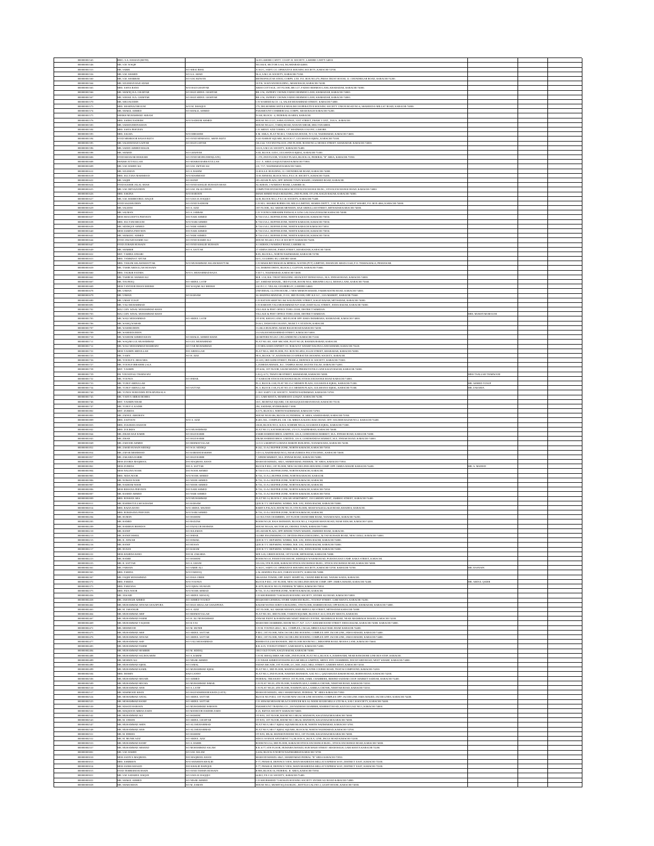| 000000001545                 | BRIG. S.A. HASSAN (RETD)                              |                                                    | 4-D LAHORE CANTT. CO-OP. H. SOCIETY, LAHORE CANTT-54810.                                                                                                                                                         |                             |  |
|------------------------------|-------------------------------------------------------|----------------------------------------------------|------------------------------------------------------------------------------------------------------------------------------------------------------------------------------------------------------------------|-----------------------------|--|
| 000000001546<br>000000001553 | MR. S.M. WAQIF<br>MR. SABIR                           | <b>SO SIRAJ BHAI</b>                               | 0.384 E, SECTOR G-64, ISLAMABAD-44000.<br>A/161/C, SAIFY CO. OPERATIVE HOUSING SOCIETY, KARACHI-74700.                                                                                                           |                             |  |
| 000000001556                 | MR. S.M. SHAHID                                       | SO S.A. AHAD                                       | 6-A, S.M.C.H. SOCIETY, KARACHI-75350                                                                                                                                                                             |                             |  |
| 000000001560                 | MR. S.M. SHABBAR<br>MR. SULEMAN HAILADAM              | <b>SO S.M. REZWAN</b>                              | METROPOLITAN STEEL CORPN. LTD. P.O. BOX NO.470, PRESS TRUST HOUSE, LL CHUNDRIGAR ROAD, KARACHI-74200                                                                                                             |                             |  |
| 000000001564<br>000000001565 | <b>IRS. SAFIA BANO</b>                                | <b>CO HAILGHAFFAR</b>                              | P.K. WASVANI BUILDING, ARAM BAGH, KARACHI-74200<br>BOO COTTAGE, 1ST FLOOR, BR-1/27, FADOO REHMOO LANE, KHARADAR, KARACHI-74000                                                                                   |                             |  |
| 000000001566<br>000000001567 | MR. SHAFIQ H.A. GHAFFAR<br>MR. SOHAIL H.A. GHAFFAR    | SO HAILABDUL GHAFFAR<br>SO HAILABDUL GHAFFAR       | BR-1/56. JAFFERY CHOWK FADOO REHMOO LANE, KHARADAR, KARACHI-74000<br>BR-1/56, JAFFERY CHOWK FADOO REHMOO LANE, KHARADAR, KARACHI-74000                                                                           |                             |  |
| 000000001570                 | MR. SHUJAUDDIN                                        |                                                    | O WAHEED & CO. 14, SALEH MUHAMMAD STREET, KARACHI-74000.                                                                                                                                                         |                             |  |
| 000000001573                 | MRS. SHAHNAZ BEGUM                                    | W/O M. ISHAQUE                                     | 79, DELHI MERCANTILE MUSLIM COOPERATIVE HOUSING SOCIETY UNION ROAD NO.6, SHAHEED-E-MILLAT ROAD, KARACHI-74800                                                                                                    |                             |  |
| 000000001574<br>000000001575 | MR. SHAKIL AHMED<br>SHEIKH MUHAMMAD AKRAM             | SO KHALIL AHMED                                    | PARAMOUNT COMMERCIAL CORPN. ARAM BAGH KARACHI-74200.<br>D-160, BLOCK - 4, FEDERAL-B-AREA, KARACHI.                                                                                                               |                             |  |
| 000000001576                 | MRS. SAIMA NADEEM                                     | <b>VO NADEEM AHMED</b>                             | HOUSE NO.11/2/1, SABA AVENUE, 31ST STREET, PHASE V EXT., D.H.A., KARACHL                                                                                                                                         |                             |  |
| 000000001583<br>000000001584 | MR. SAEEDUDDIN KHAM<br>MRS. SAFIA PERVEEN             |                                                    | IOUSE NO.42-C, TARIQ ROAD, NAWAN SHEAR, MULTAN-60000<br>O ABDUL AZIZ VOHRA, 137 SHADMAN COLONY, LAHORE.                                                                                                          |                             |  |
| 000000001593                 | MRS. SALMA                                            | W/O EBRAHIM                                        | EM. AMLA, FLAT NO.B-5, VARACHA HOUSE, IV-C10, NAZIMABAD, KARACHI-74600.                                                                                                                                          |                             |  |
| 000000001594                 | SYED MEHBOOB HASAN RIZVI                              | SO SYED MINHARL ARFIN RIZVI                        | 40 ASHRAF SOUARE, BLOCK-17, GULSHAN-E-IOBAL, KARACHI-75300                                                                                                                                                       |                             |  |
| 000000001595<br>000000001596 | MR. SALEEM HAJI GAFFAR<br>MR. SAEED AHMED MALIK       | SO HAILGAFFAR                                      | GK-2/44, VAYANI PALACE, 2ND FLOOR, ROOM NO.4, MOSSA STREET, KHARADAR, KARACHI-74000.<br>22/A, S.M.C.H. SOCIETY, KARACHI-74400.                                                                                   |                             |  |
| 000000001598                 | MR. SHAHID                                            | <b>SO GHAFFAR</b>                                  | VIII, BLOCK 13/D/1, GULSHAN-E-IQBAL, KARACHI-75300.                                                                                                                                                              |                             |  |
| 000000001606<br>000000001606 | SYED KHAWAR BUKHARI<br>SHAIKH ATTAULLAH               | SO SYED MOINUDDIN(LATE<br>S O SHAIKH BARKATULLAH   | 178, 2ND FLOOR, YOUSUF PLAZA, BLOCK-16, FEDERAL "B" AREA, KARACHI-75950<br>2 A AREA LIAQUATABAD KARACHI-75900                                                                                                    |                             |  |
| 000000001609                 | MR. S.M. HAMID ALI                                    | <b>SO S.M. JAFFAR ALI</b>                          | E, 7/17, NAZIMABAD KARACHI-74600                                                                                                                                                                                 |                             |  |
| 000000001612                 | MR. SULEMAN                                           | SO A RAHIM                                         | 53 B K.S.E. BUILDING, LL CHUNDRIGAR ROAD, KARACHI-74000<br>3-H ANNEXE, BLOCK NO.6, P.E.C.H. SOCIETY, KARACHI-75400                                                                                               |                             |  |
| 000000001619<br>000000001622 | MRS. SULTANA MAHMOOD<br>MR. SAOIB                     | WO MAHMOOD<br><b>SO HANF</b>                       | K-ADAM PLAZA, OPP, RINORT TOWN MASTID, TAMSHED ROAD, KARACHI                                                                                                                                                     |                             |  |
| 000000001624                 | SYED KAISER JALAL SHAH                                | S O SYED KHALID HUSSAIN SHAH                       | AL-KIRAN, 1-WAHDAT ROAD, LAHORE-16.                                                                                                                                                                              |                             |  |
| 000000001625<br>000000001626 | MR. S.M. IMTIAZUDDIN                                  | <b>SO S.M. JALALUDDIN</b>                          | COMPUTER DIVISION KARACHI STOCK EXCHANGE BLDG STOCK EXCHANGE ROAD, KARACHI-7400<br>MAM AHMED RAZA BULDING, 2ND FLOOR, OT-2/90, KAGZI BAZAR, KARACHI-74000                                                        |                             |  |
| 00000000162                  | MRS. SAKINA<br>MR. S.M. MAHBOOBUL HAQUE               | <b>NO HAROON</b><br><b>SO SMSH. HAOOU</b>          | <b>B. BLOCK NO.2, P.E.C.H. SOCIETY, KARACHI-75400.</b>                                                                                                                                                           |                             |  |
| 000000001628                 | YED SALEHUDDIN                                        | <b>SO SYED NADEEM</b>                              | O M.U. SHAIKH BURMA OIL MILLS LIMITED, SHARES DEPTT., V.M. PLAZA, 13 WEST WHARF, P.O. BOX 4066, KARACHI-74000                                                                                                    |                             |  |
| 000000001629<br>000000001631 | MR. SALEEM<br>MR. SALMAN                              | <b>SO A AZIZ</b><br><b>SO A JABBAR</b>             | ST FLOOR, ALI AKBAR MENSION, HAJI ABDULLAH STREET, MITHADAR KARACHI-74000.<br>O YOUNUS EBRAHIM PANWALA GOW GALI KAGZI BAZAR KARACHI-7400                                                                         |                             |  |
| 000000001637                 | MISS SHAGOOFTA PERVEEN                                | DO NABI AHMED                                      | 726/15A-2, BUFFER ZONE, NORTH KARACHI, KARACHI-75850.                                                                                                                                                            |                             |  |
| 000000001638<br>000000001639 | MRS. SULTANI BEGUM<br>MR. SIDDIQUE AHMED              | W/O NABI AHMED<br>SO NABI AHMED                    | -726/15A-2, BUFFER ZONE, NORTH KARACHI, KARACHI-75850.<br>R-726/15A-2, BUFFER ZONE, NORTH KARACHI KARACHI-75850.                                                                                                 |                             |  |
| 000000001640                 | MISS SAMINA PERVEEN                                   | DO NABI AHMED                                      | R-726/15A-2, BUFFER ZONE, NORTH KARACHI, KARACHI-75850                                                                                                                                                           |                             |  |
| 000000001641<br>000000001644 | MR. SHAKEEL AHMED                                     | SO NABI AHMED                                      | 1-726/15A-2, BUFFER ZONE, NORTH KARACHI, KARACHI-75850                                                                                                                                                           |                             |  |
| 000000001647                 | YED JAWAID HAMID ALL<br>SYED ZUBAIR HUSSAIN           | SO SYED HAMID ALL<br>S O SYED KHALID HUSSAD        | IOUSE NO.4E/2, P.E.C.H SOCIETY KARACHI-75400<br>A-1-KIRAN, I-WAHDAT ROAD, LAHORE-16.                                                                                                                             |                             |  |
| 000000001649                 | MR. SHABBIR                                           | SO A SATTAR                                        | 7-AMINA HOUSE, PARIA STREET, KHARADAR, KARACHI-74000.                                                                                                                                                            |                             |  |
| 00000001652<br>000000001653  | MST. TAHIRA ANSARI<br><b>MRS. TAMKINAT AFTAB</b>      |                                                    | 85. BLOCK-L. NORTH NAZIMABAD, KARACHI-74700<br>64-G, GULBERG-III, LAHORE-54660                                                                                                                                   |                             |  |
| 000000001657                 | MRS. TASLIM ASLAM KHATTAK                             | W/O MUHAMMAD ASLAM KHATTAK                         | CO MAKK BEVERAGES & MINRAL WATER (PVT) LIMITED, JEHANGIR ABAD-25140, P.O. TEKHALBALA, PESHAWAR.                                                                                                                  |                             |  |
| 000000001659                 | MR. TAHIR ABDULLAH HUSSAIN                            | WO S. MUHAMMAD RAZA                                | 10, MARINE DRIVE, BLOCK-2, CLIFTON, KARACHI-75600                                                                                                                                                                |                             |  |
| 000000001666<br>00000000166  | MRS. TAUKIR FATIMA<br>MR. TAHIR M. SHAIKH ALL         |                                                    | -D/7-1, NAZIMABAD, KARACHI-74600<br>M.R. 1/50, B.K. TRUST BUILDING ADJACENT DENSO HALL, M.A. JINNAH ROAD, KARACHI-74000.                                                                                         |                             |  |
| 000000001667                 | MR. TOUFEEQ                                           | O ABDUL LATIF                                      | 7, SARDAR MANZIL, 3RD FLOOR, ROOM NO.6, MIRAPIR GALI-4, MOSSA LANE, KARACHI-75660                                                                                                                                |                             |  |
| 000000001669<br>000000001678 | MISS TANVEER JEHAN SHEIKH<br>MR. USMAN                | DO WAQAR ALI SHEIKE                                | 43 F.C.C. VILLAS, GULBERG-IV, LAHORE-54660.<br>NIVERSAL CLOTH HOUSE, 3 NEW MEMON MASIID, FAKHR MATRI ROAD, KARACHI-74000.                                                                                        |                             |  |
| 000000001679                 | MR. USMAN                                             | <b>SO KASSAM</b>                                   | L-MADINA MANZAIL, F-312, 3RD FLOOR, OPP. K.E.S.C., LEA MARKET, KARACHI-75660.                                                                                                                                    |                             |  |
| 000000001680                 | MR. UMAR YUSUF                                        |                                                    | C/O RATION SHOP NO.364 WALINANDU STREET, KAGZI BAZAR, MITHADAR, KARACHI-74000.                                                                                                                                   |                             |  |
| 000000001691<br>000000001700 | MR. VALI MUHAMMAD<br>MAJ. GEN. WISAL MUHAMMAD KHAN    |                                                    | CO HAROON VALI MUHAMMAD N.P-1048, DARYALAL STREET, JODIA BAZAR, KARACHI-74000<br>VILLAGE & POST OFFICE TORU-23300, DISTRICT MARDAN                                                                               |                             |  |
| 000000001703                 | MAJ. GEN. WISAL MUHAMMAD KHAN                         |                                                    | ILLAGE & POST OFFICE TORU-23300, DISTRICT MARDAN.                                                                                                                                                                | RS. MUKHTAR BEGUM           |  |
| 000000001705<br>000000001706 | MR. WALI MUHAMMAD                                     | O ABDUL LATIF                                      | T-898, KHOJA LANE, 3RD FLOOR OPP: BARA IMAMBARA, KHARADAR, KARACHI-74000<br>26/1, DAWOOD COLONY, NEAR T-V STATION, KARACHI.                                                                                      |                             |  |
| 000000001707                 | MR. WASIQ WAHAB<br>MR. WASIMUDDIN                     |                                                    | LAILA BUILDING ARAM BAGH ROAD KARACHI-74200                                                                                                                                                                      |                             |  |
| 000000001709                 | MR. WAHEEDUDDEN                                       |                                                    | 14 SALEH MUHAMMAD STREET, KARACHI-74000                                                                                                                                                                          |                             |  |
| 000000001710<br>000000001711 | MR. WASEEM AHMED KHAN<br>MR. WAQAR GUL MUHAMMAD       | <b>SO KHALIL AHMED KHAN</b><br>S O GUL MUHAMMAD    | UARTERS NO.261 2/B LANDHI NO.2 KARACHI-75160.<br>FLAT NO.303, ASIF ARCADE, PLOT NO.28, BAHADURABAD, KARACHI.                                                                                                     |                             |  |
| 000000001712                 | MR. WALI MUHAMMAD MAMDANI                             | <b>SO TAR MUHAMMAD</b>                             | C/O MOLASSES EXPORT CO. RAILWAY WHARF DAGINA LANE KEMARI, KARACHI-75620.                                                                                                                                         |                             |  |
| 000000001722<br>000000001725 | MISS YASMIN ABDULLAH<br>MR. YASIN                     | <b>DO ABDULLAE</b><br><b>SOH AZZ</b>               | LAT NO.6, SRD FLOOR, P.O. BOX NO.6932, ELLIS STREET, KHARADAR, KARACHI-7400<br>6-A, BLOCK "A", KATHIWAR CO-OPERATIVE HOUSING SOCIETY, KARACH                                                                     |                             |  |
| 000000001726                 | MR. YOUSUF E. BHAI MLA                                |                                                    | 2-A/IL SRD GIZRI STREET, PHASE-4, DEFENCE H. SOCIETY, KARACHI-75500                                                                                                                                              |                             |  |
| 000000001727                 | MR. YOUSUF IBRAHIM LALA                               |                                                    | . ZUBEDA MANZIL, R.C. TAMPLE ROAD, RATAN TALAO, KARACHI-74200.                                                                                                                                                   |                             |  |
| 000000001728<br>000000001729 | MST. YASMIN<br>DR. YOUSUFALI THARWANI                 |                                                    | T-696, 1ST FLOOR, SALIM MANZIL PREEM PATOLI LANE KAGZI BAZAR, KARACHI-74000.<br>3 K.Q. 6/72, THANVAR STREET, KHARADAR, KARACHI-74000                                                                             | <b>ISS TSALLAH THARWANI</b> |  |
| 000000001732                 | MR. YOUNUS                                            | <b>SO ISMAIL</b>                                   | 17 KARACHI STOCK EXCHANGE BLDG STOCK EXCHANGE ROAD KARACHI-74000.                                                                                                                                                |                             |  |
| 000000001733                 | MR. YUSUF ABDULLAH                                    | <b>SO SATTAR</b>                                   | L-3, BLOCK-13-B, FLAT NO.15-C MEMON PLAZA, GULSHAN-E-IQBAL, KARACHI-75300                                                                                                                                        | <b><i>ARMED YUSUE</i></b>   |  |
| 000000001734<br>000000001740 | MR. YUSUF ABDULLAH<br>MR. YUNUS NURUDDEN PITHAPURWALA |                                                    | 1-3, BLOCK 13-B, FLAT NO.15-C MEMON PLAZA, GULSHAN-E-IQBAL, KARACHI-7530<br>38 C SAIFY C.H. SOCIETY, NORTH NAZIMABAD, KARACHI-74700                                                                              | <b><i>B. ZAKARIA</i></b>    |  |
| 000000001745                 | MR. YAHYA ABBAS BOHRA                                 |                                                    | 11, GARI KHATA, SHAHRAH-E-LIAQAT, KARACHI-74200                                                                                                                                                                  |                             |  |
| 000000001746<br>000000001747 | MST. YASMIN NISAR<br>MR. YUSUF A. KADIR               |                                                    | 0C, MUMTAZ SQUARE, CH. KHALIQUZZAMAN ROAD, KARACHI-75530<br>94, SADDAR, HYDERABAD-71000.                                                                                                                         |                             |  |
| 000000001802                 | MST. ZUBEDA                                           |                                                    | 575. BLOCK-L NORTH NAZIMABAD, KARACHI-74700.                                                                                                                                                                     |                             |  |
| 000000001803<br>000000001809 | MR. ZAINUL ABEDEEN<br>MRS. ZAITOON                    | W/O A. AZIZ                                        | HOUSE NO.R-586, BLOCK-18, FEDERAL. B AREA, SAMANABAD, KARACHI-75950.<br>B-403, ML. COMPLEX, J.M. 136, MBZA KALEEG BAIG ROAD, OFF: SOLDIER BAZAR NO.2, KARACHI-74400.                                             |                             |  |
|                              |                                                       |                                                    |                                                                                                                                                                                                                  |                             |  |
| 00000000182                  | <b>GRS. ZULEKHA HAJIAN</b>                            |                                                    | 86-B, BLOCK NO.5, K.D.A. SCHEME NO.24, GULSHAN-E-IQBAL, KARACHI-7530                                                                                                                                             |                             |  |
| 000000001842                 | MRS. ZOLIKHA                                          | <b>COMUHAMMAD</b>                                  | AT NO.13, KATHOR HOUSE, 1/V-C/S, NAZIMABAD, KARACHI-74600.                                                                                                                                                       |                             |  |
| 000000001844                 | MR. ZIKAR HAJI HABIB                                  | <b>SO HAILHABIB</b>                                | AKIR HAMEED BROS LIMITED, 126-A, GORDANDAS MARKET, M.A. JINNAH ROAD, KARACHI-74000                                                                                                                               |                             |  |
| 000000001845<br>000000001849 | MR. ZIKAR<br>MR. ZAHOOR AHMED                         | S O HAII HABIB<br>SO REHMATULLAH                   | TKAR HAMEED BROS. LIMITED, 126-A, GORDHANDAS MARKET, M.A. JINNAH ROAD, KARACHI-74000<br>12/115 LAKHPATI LOHANA MARJIN BUILDING, NANAKWADA, KARACHI-74200                                                         |                             |  |
| 000000001852                 | MR. ZAHID HUSAIN SIDDIQI                              | SO W.H. SIDDIOI                                    | 1-242, 15-A/2 BUFFER ZONE, NORTH KARACHI, KARACHI-75850                                                                                                                                                          |                             |  |
| 000000001854<br>000000001857 | MR. ZAFAR MEHMOOD<br>MR. ZAKARIA HABIB                | <b>SO KAREEM BAKHSE</b><br>SO HAII HABIB           | 5-D-14, NAZIMABAD NO.5, NEAR ZUBEDA POLYTECHNIC, KARACHI-74600<br>7, SINDH MARKET, M.A. JINNAH ROAD, KARACHI-74000.                                                                                              |                             |  |
| 000000001858                 | MISS ZOOBIA MAQBOOL                                   | DO MAQBOOL KHAN                                    | MASOOD MANZIL, 684/1, SHARIFABAD, FEDERAL "B" AREA, KARACHI-75950.                                                                                                                                               |                             |  |
| 000000001861                 | <b>MISS ZUBEDA</b>                                    | DO A SATTAR                                        | BLOCK P-III 2, 1ST FLOOR, NEW JACOB LINES HOUSING COMP. OPP: JAMEA MASJID KARACHI-74400                                                                                                                          | R. A. MAJEED                |  |
| 000000001904<br>000000001905 | <b>IISS NAGINA NOOI</b><br>MRS. NIDA NOOR             | <b>DO NOOR AHMED</b><br>W/O NOOR AHMED             | 726/15-A-2, BUFFER ZONE, NORTH KARACHI, KARACHI<br>R-726, 15-A-2, BUFFER ZONE, NORTH KARACHL KARACHI                                                                                                             |                             |  |
| 000000001906                 | MR. NOMAN NOOR                                        | <b>SO NOOR AHMED</b>                               | <b>1726 15.6.2 BUFFER ZONE NORTH KARACHI KARACHI</b>                                                                                                                                                             |                             |  |
| 000000001907<br>000000002006 | MR NADEEM NOOR<br>MISS REHANA PERVEEN                 | <b>SO NOOR AHMED</b><br><b>DONABI AHMED</b>        | 726. 15-A-2 BUFFER ZONE, NORTH KARACHL KARACH<br>1-726, 15-A/2 BUFFER ZONE, NORTH KARACHI, KARACHI-75850                                                                                                         |                             |  |
| 000000002007                 | MR. RASHID AHMED                                      | SO NABI AHMED                                      | R-726, 15-A/2 BUFFER ZONE, NORTH KARACHI, KARACHI-75850.                                                                                                                                                         |                             |  |
| 000000002009<br>000000002011 | MRS. ROSHAN ARA<br>MR. RAHMATULLAH KASSAM             | W.O. MUHAMMAD<br>SO KASSAM                         | FLAT NO.14, BLOCK-C, HALAR APARTMENT, 158 GARDEN WEST, JAMBOO STREET, KARACHI-74400.<br>QUICK T.V. REPARING WORKS, M.R. 5/82, JODIA BAZAR, KARACHI-7400                                                          |                             |  |
| 000000002014                 | MRS. RAZIA BANO                                       | WO ABDUL MAJEED                                    | IABIYA PALACE, ROOM NO.19, STH FLOOR, SHAH WALIULLALH ROAD, KHADDA, KARACH                                                                                                                                       |                             |  |
| 00000002016                  | MRS. RUKHSANA PERVEEN                                 | WO NABI AHMED<br><b>SO HASHIM</b>                  | 1-726, 15-A-2 BUFFER ZONE, NORTH KARACHI, KARACHI.                                                                                                                                                               |                             |  |
| 000000002204<br>000000002205 | MR. HUSEIN<br>MR. HAMED                               | SO RAZZAK                                          | 22 SULTAN CHAMBERS, IST FLOOR CHAND BIBI ROAD, NANAKWADA, KARACHI-74200.<br>OOM NO.20, RAJA MANSION, BLOCK NO.4, YAQOOB KHAN ROAD, NEAR EIDGAH, KARACHI-74200.                                                   |                             |  |
| 000000002209                 | MP HARRIS PERMAN                                      | SO FAZALUR REHMAN                                  | HOUSE NO 626, SECTOR 4 E. ORANGI TOWN, KARACHI-75800.                                                                                                                                                            |                             |  |
| 000000002210                 | MR. HANIF<br><b>GR. HANIF ISMAI</b>                   | <b>SO SULEMAN</b>                                  | 105-ADAM PLAZA, OPP: BINORI TOWN MASJID, JAMSHED ROAD, KARACHI.<br>OBE ENGINEERING CO. DEVDAS PRAGII BUILDING, ALTAF HUSSAIN RO                                                                                  |                             |  |
| 00000000221                  | MR. H. ANWAR                                          | O ESMAIL                                           | UICK T.V. REPARING WORKS, M.R. 5/82, JODIA BAZAR, KARACHI-7400                                                                                                                                                   |                             |  |
| 000000002216<br>00000000221  | MR. HANIF<br>MR. HUSAN                                | <b>SO HUSAN</b><br>O KASAM                         | UICK T.V. REPARING WORKS, M.R. 5/82, JODIA BAZAR, KARACHI-7400<br>TCK T.V. REPARING WORKS, M.R. 5/82, JODIA BAZAR, KARACHI-74000                                                                                 |                             |  |
| 00000000222                  | <b>MISS HAMIDA BANC</b>                               | <b>DOM ZAKARI</b>                                  | 4 R 5/45, GREEN HOUSE, 1ST FLOOR, MITHADAR, KARACHI-74000                                                                                                                                                        |                             |  |
| 000000002223                 | MR. HAMID<br>MR. H. SATTAR                            | <b>SO HASHIM</b><br><b>SO A GHANI</b>              | <b>ROOM NO.10. PANJETANI HOUSE, SIDDROUE WAHAB ROAD, PURANA HAJI CAMP, KAKA STREET, KARACHI</b><br>35-536, STH FLOOR, KARACHI STOCK EXCHANGE BLDG., STOCK EXCHANGE ROAD, KARACHI-74000.                          |                             |  |
| 000000002225<br>000000002361 | MR. FARHAN                                            | SO SABIR ALI                                       | V161/C, SAIFY CO. OPERATIVE HOUSING SOCIETY, KARACHI-74700. KARACHI-74700.                                                                                                                                       | MR. HASNAIN                 |  |
| 000000002365                 | MRS. FARIDA                                           | W/O FAROOQ                                         | 4 AL-MADINA PALACE, FARAN SOCIETY, KARACHI-74800.                                                                                                                                                                |                             |  |
| 000000002367<br>00000000237  | MR. FAQIR MUHAMMAD<br><b>MRS. FARIDA</b>              | SO ESSA UMER<br><b>O YOUNUS</b>                    | 106 SANA TOWER, OPP. HADY HOSPITAL, CHAND BIBI ROAD, NANAK WADA, KARACHI.<br>LOCK P-III2, IST FLOOR, NEW JACOB LINES HOUSE COMP, OPP: JAMEA MASIID, KARACHI-7440                                                 | R. ABDUL QADIR              |  |
| 000000002375                 | <b>MRS. FARZAN</b>                                    | <b>N/O IQBAL HUSSAIN</b>                           | 1079, BLOCK NO.19, FEDERAL B"AREA, KARACHI-75950                                                                                                                                                                 |                             |  |
| 000000002375<br>000000002456 | MRS. FIZA NOOR<br>MR. JAWAID                          | W/O NOOR AHMAD<br><b>SO ARDEE KHALIO</b>           | -726, 15-A-2 BUFFER ZONE, NORTH KARACHI, KARACHI.<br>O KHURSHEED 73-KOKAN HOUSING SOCIETY, HYDER ALI ROAD, KARACHI-74800                                                                                         |                             |  |
| 000000002458                 | MR. JAHANGIR AHMED                                    | SO AHMED YOUSUF                                    | LAQSOOD GENERAL STORE SABWANI BLDG., YOUSUF STREET, GARI KHATA, KARACHI-74200                                                                                                                                    |                             |  |
| 000000002462<br>000000002463 | MR. MUHAMMAD ANWAR GHAZIPURA<br>MR. M. JAHANGIR       | SO HAILABULLAH GHAZIPURA<br><b>SO A AZIZ</b>       | <b>EASAM NATHA SURIYA BUILDING, STH FLOOR, HARRIES ROAD, OPP:BANGAL HOUSE, KHARADAR, KARACHI-74000</b><br>IST FLOOR, ALI AKBAR MANSIN, HAJI ABDULLAH STREET, MITHADAR KARACHI-74000.                             |                             |  |
| 000000002464                 | MR. MUHAMMAD ARIF                                     | SO REHMATULLAH                                     | FLAT NO.301, 3RD FLOOR, YASEEN SQUARE, BLOCK-F, 61/2, DOLHY KHATA, KARACHI.                                                                                                                                      |                             |  |
| 000000002467                 | MR. MUHAMMAD FAHIM                                    | SO H. ALI MUHAMMA                                  | NWAR PAINT & HARDWARE MART IRSHAD CENTRE, ARAMBAGH ROAD, NEAR ARAMBAGH MASJID, KARACHI-74200                                                                                                                     |                             |  |
| 000000002469<br>000000002472 | MR. MUHAMMAD YAQOOE<br>MR. MEHMOOD                    | SO ILYAS<br><b>SOM MUNIE</b>                       | ASOOMI CHAMBERS, ROOM NO.17, N.P. 11/5-7, KHEAMCHAND STREET JODIA BAZAR, KARACHI-74000. KARACHI-7400<br>COM. YOUNUS 406-C, M.L. COMPLEX, J.M. 146, MIRZA KALIJ BAIG ROAD KARACHI-74400.                          |                             |  |
| 000000002475                 | MR. MUHAMMAD ARIF                                     | <b>SO ABDUL SATTAR</b>                             | HI2, 1ST FLOOR, NEW JACOB LINE HOUSING COMPLEX OPP. JACOB LINE, JAM-E-MASSID, KARACHI-74400.                                                                                                                     |                             |  |
| 000000002476<br>000000002477 | MP MEHAMMAD ANWAR<br>MR. MUHAMMAD ASIF                | <b>SO ARDEE SATTAR</b><br>O VALI MUHAMMAD          | 402, 1ST FLOOR, NEW JACOB LINE HOUSING COMPLEX OPP: JACOB LINE, JAM-E-MASIID, KARACHI-74400.<br>EHMATULLAH MANSION. 3RD FLOOR ROOM NO.1. MIRANPIR ROAD. MOOSA LANE, KARACHI-7568                                 |                             |  |
| 000000002483                 | MR. MUHAMMAD FAHIM                                    |                                                    | R.B. 6/25, YOUSUF STREET, GARI KHATA, KARACHI-74200.                                                                                                                                                             |                             |  |
| 000000002484                 | MR. MUHAMMAD SHABBIR                                  | SOM SIDDIQ                                         | 88/2 OLD TOWN, KAGZI BAZAR, KARACHI-74000.                                                                                                                                                                       |                             |  |
| 000000002488<br>000000002489 | MR. MUHAMMAD SALIM KARIN<br>MR. MOHSIN ALI            | SO A KARIM<br><b>SO NISAR AHMED</b>                | O M. ISHAQ ARBA ARCADE, 2ND FLOOR, FLAT NO.4, BLOCK-A, RAMSWAMI, NEAR RANCHORE LINE BUS STOP, KARACHI.<br>O NISAR AHMED HYESONS SUGAR MILLS LIMITED, ABDUL HYE CHAMBERS, DOCKYARD ROAD, WEST WHARF, KARACHI-7400 |                             |  |
| 000000002490                 | MR. MUHAMMAD IQBA                                     | O JAMAL                                            | DAF ARCADE, 1ST FLOOR, 4-C, M.R. 2642, MILL STREET, GARDEN WEST, KARACHI-74550.                                                                                                                                  |                             |  |
| 000000002499<br>000000002504 | MR. MUHAMMAD KAMIL<br>MRS. MOMEN                      | SO MUHAMMAD IQBAL<br>HAJI GANNY                    | LAT NO.1, 3RD FLOOR, MADINA MANZIL, WATER COURSE ROAD, THATAI COMPOUND, KARACHI-74200<br>FLAT NO.3, 2ND FLOOR, NAEEMA MANSION, A.M. NO.1, QAZI KHUDA BAKSH ROAD, BURNS ROAD, KARACHI-74200.                      |                             |  |
| 000000002506                 | MR. MUHAMMAD SHOAIB                                   | <b>CEMBRO 2</b>                                    | EDERAL TREASURY OFFICE IST FLOOR, JAMIL CHAMBERS, BEHIND SADDAR COOP. MARKET SADDAR, KARACHI-74400.                                                                                                              |                             |  |
| 000000002509                 | MR. MUHAMMAD MOOSA                                    | <b>SO MUHAMMAD ISMAII</b>                          | O FLAT NO.20, 4TH FLOOR, NASIM PLAZA, LASBELA CHOWK, NISHTAR ROAD, KARACHI-74550.                                                                                                                                |                             |  |
| 000000002510<br>000000002517 | MR. MUHAMMAD ANIS<br>MR. MAHMOOD KHAN                 | <b>SOALATE</b><br>SO HAII MAHBOOB KHAN (LATE)      | CO FLAT NO.20, 4TH FLOOR, NASIM PLAZA, LASBELA CHOWK, NISHTAR ROAD, KARACHI-74550.<br>IASOOD MANZIL, 684/1 SHARIFABAD, FEDERAL 'B' AREA KARACHI-75950                                                            |                             |  |
| 00000000252                  | MR. MOHAMMAD AFZA                                     | <b>SO ABDUL SATTAR</b>                             | LOCK NO.P-III/2, 1ST FLOOR NEW JACOB LINE HOUSING COMPLEX OPP: JACOB LINE JAMA MASJID, JACOB LINES, KARACHI-744                                                                                                  |                             |  |
| 000000002525<br>000000002530 | MR. MOHAMMAD HANIF                                    | O ABDUL SATTAR<br>SO MUHAMMAD HAROOT               | O ANWAR MUSANI SR.ACS OFFICER MS AL-NOOR SUGER MILLS LTD 96-A, S.M.C.H.SOCIETY, KARACHI-74400                                                                                                                    |                             |  |
| 000000002532                 | MR. MASUD HAROON<br>MR. MAOSOOD ABBAS ZAIDI           | SO MANSOOR HAIDER ZAIDI                            | VARAMOUNT TRADING CO., 208 NADEEM CHAMBER, MARRIOT ROAD, KATCHI GALI NO.3, KARACHI-7400<br>25. RIZVIA SOCIETY KARACHI-74600                                                                                      |                             |  |
| 000000002542<br>000000002543 | MR. MUHAMMAD ALI<br>MR. M. USMAN                      | S O HASHIM<br>SO ABDUL GHAFFAR                     | (T-983, 1ST FLOOR, ROOM NO.5 HILAL MANSION, KAGZI BAZAR KARACHI-74000<br>(T-9/83, 1ST FLOOR, ROOM NO.5 HILAL MANSION, KAGZI BAZAR KARACHI-74000                                                                  |                             |  |
| 000000002547                 | MR. MUHAMMAD AMIN                                     | <b>SO ALI MUHAMMAD</b>                             | FLAT NO.9, SB-17 IQBAL SQUARE BLOCK-M, NORTH NAZIMABAD, KARACHI-74700                                                                                                                                            |                             |  |
| 000000002548                 | MR. MUHAMMAD ANIS                                     | SO ALI MUHAMMAD                                    | FLAT NO.9, SB-17 IQBAL SQUARE, BLOCK-M, NORTH NAZIMABAD, KARACHI-74700.                                                                                                                                          |                             |  |
| 000000002551<br>000000002552 | MR. M. IDREES<br>MR. M. MUNIR AZD                     | S O HASHIM<br>O ABDUL AZE                          | (T-983, HILAL MANSION ROOM NO.5, 1ST FLOOR, KAGZI BAZAR KARACHI-74000<br>DCO AVENUE APATMENT 7/4, BLOCK-A, 264 R.A. LINE, INGLE ROAD KARACHI-74200                                                               |                             |  |
| 000000002553                 | MR. MUHAMMAD HANIF                                    | SO A HABIB                                         | <b>ROOM NO.154, 3RD FLOOR, KARACHI STOCK EXCHANGE BLDG., STOCK EXCHANGE ROAD, KARACHI-74000</b>                                                                                                                  |                             |  |
| 000000002557<br>00000000300  | MR. MUHAMMAD ARSHAD<br>MR. S.M. HAMID                 | SO MOHAMMAD ASLAM<br>MAJNA M2O2                    | R.B. 6/77, 6TH FLOOR, HUMAIRA MANZIL HUR MASJI STREET ARAM BAGH, GARI KHATA KARACHI-74200.<br>684, BLOCK-N NORTH NAZIMABBAD KARACHI-74700.                                                                       |                             |  |
| 000000003010                 | <b>IISS SADIYA MAOBOOI</b>                            | TO MAOBOOL KHAN                                    | ASOOD MANZIL 684'1, SHARIFABAD FEDRAL "B" AREA KARACHI-75950                                                                                                                                                     |                             |  |
| 000000003013                 | MRS. SAMREEN                                          | W/O SHAHEEN KHALID                                 | 77, PHASE-II, DEFENCE VIEW, MAIN SHAHEED-E-MILLAT EXPRESS WAY, DISTRICT EAST, KARACHI-75500                                                                                                                      |                             |  |
| 000000003014<br>000000003015 | MISS SAIMA KHALID<br><b>SYED TEHREEM HUSSAIN</b>      | <b>DO KHALID RAFIQUE</b><br>S O SYED TEHSIN HUSSAI | 77, PHASE-II, DEFENCE VIEW, MAIN SHAHEED-E-MILLAT EXPRESS WAY, DISTRICT EAST, KARACHI-75500<br>988, BLOCK-16, FEDERAL B AREA, KARACHI-75950                                                                      |                             |  |
| 000000003021<br>00000000302  | MR. S.M. SADARUL HAQUE<br>MR. SHAKIL AHMED            | SO S.M.S.H. HAQQUI<br>O NISAR AHMED                | B2, P.E.C.H. SOCIETY, KARACHI-75400.<br>O KHURSHEED 73-KOKAN HOUSING SOCIETY HYDER ALI ROAD KARACHI-74800                                                                                                        |                             |  |